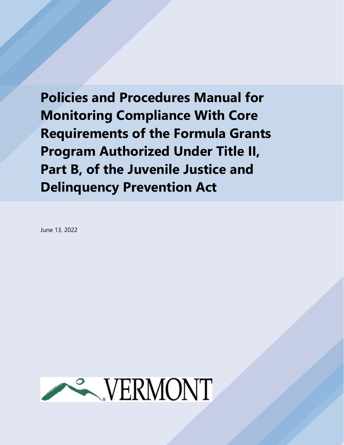**Policies and Procedures Manual for Monitoring Compliance With Core Requirements of the Formula Grants Program Authorized Under Title II, Part B, of the Juvenile Justice and Delinquency Prevention Act**

June 13, 2022

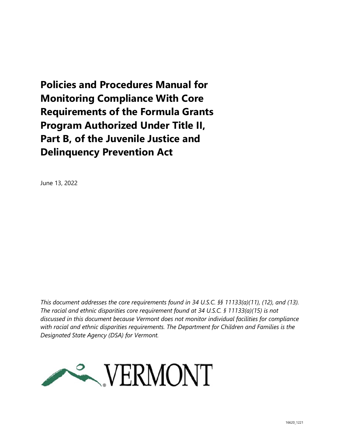**Policies and Procedures Manual for Monitoring Compliance With Core Requirements of the Formula Grants Program Authorized Under Title II, Part B, of the Juvenile Justice and Delinquency Prevention Act**

June 13, 2022

*This document addresses the core requirements found in 34 U.S.C. §§ 11133(a)(11), (12), and (13). The racial and ethnic disparities core requirement found at 34 U.S.C. § 11133(a)(15) is not discussed in this document because Vermont does not monitor individual facilities for compliance with racial and ethnic disparities requirements. The Department for Children and Families is the Designated State Agency (DSA) for Vermont.* 

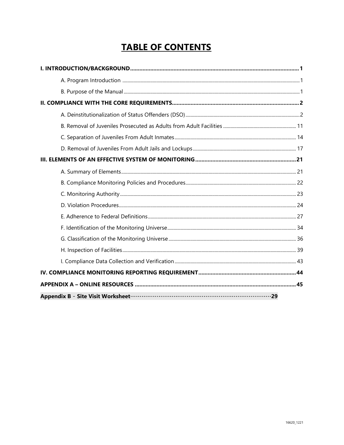# **TABLE OF CONTENTS**

| Appendix B - Site Visit Worksheet <b>must be a strategied as a strategied of the Visit Worksheet</b> must be a strategi |  |
|-------------------------------------------------------------------------------------------------------------------------|--|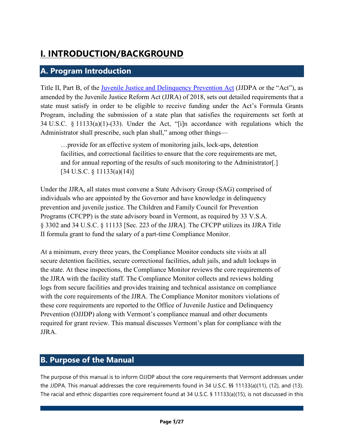# <span id="page-3-0"></span>**I. INTRODUCTION/BACKGROUND**

## <span id="page-3-1"></span>**A. Program Introduction**

Title II, Part B, of the [Juvenile Justice and Delinquency Prevention Act](https://ojjdp.ojp.gov/about/legislation) (JJDPA or the "Act"), as amended by the Juvenile Justice Reform Act (JJRA) of 2018, sets out detailed requirements that a state must satisfy in order to be eligible to receive funding under the Act's Formula Grants Program, including the submission of a state plan that satisfies the requirements set forth at 34 U.S.C. § 11133(a)(1)-(33). Under the Act, "[i]n accordance with regulations which the Administrator shall prescribe, such plan shall," among other things—

…provide for an effective system of monitoring jails, lock-ups, detention facilities, and correctional facilities to ensure that the core requirements are met, and for annual reporting of the results of such monitoring to the Administrator[.] [34 U.S.C. § 11133(a)(14)]

Under the JJRA, all states must convene a State Advisory Group (SAG) comprised of individuals who are appointed by the Governor and have knowledge in delinquency prevention and juvenile justice. The Children and Family Council for Prevention Programs (CFCPP) is the state advisory board in Vermont, as required by 33 V.S.A. § 3302 and 34 U.S.C. § 11133 [Sec. 223 of the JJRA]. The CFCPP utilizes its JJRA Title II formula grant to fund the salary of a part-time Compliance Monitor.

At a minimum, every three years, the Compliance Monitor conducts site visits at all secure detention facilities, secure correctional facilities, adult jails, and adult lockups in the state. At these inspections, the Compliance Monitor reviews the core requirements of the JJRA with the facility staff. The Compliance Monitor collects and reviews holding logs from secure facilities and provides training and technical assistance on compliance with the core requirements of the JJRA. The Compliance Monitor monitors violations of these core requirements are reported to the Office of Juvenile Justice and Delinquency Prevention (OJJDP) along with Vermont's compliance manual and other documents required for grant review. This manual discusses Vermont's plan for compliance with the JJRA.

## <span id="page-3-2"></span>**B. Purpose of the Manual**

The purpose of this manual is to inform OJJDP about the core requirements that Vermont addresses under the JJDPA. This manual addresses the core requirements found in 34 U.S.C. §§ 11133(a)(11), (12), and (13). The racial and ethnic disparities core requirement found at 34 U.S.C. § 11133(a)(15), is not discussed in this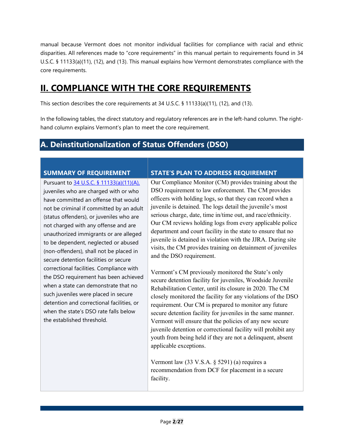manual because Vermont does not monitor individual facilities for compliance with racial and ethnic disparities. All references made to "core requirements" in this manual pertain to requirements found in 34 U.S.C. § 11133(a)(11), (12), and (13). This manual explains how Vermont demonstrates compliance with the core requirements.

## <span id="page-4-0"></span>**II. COMPLIANCE WITH THE CORE REQUIREMENTS**

This section describes the core requirements at 34 U.S.C. § 11133(a)(11), (12), and (13).

In the following tables, the direct statutory and regulatory references are in the left-hand column. The righthand column explains Vermont's plan to meet the core requirement.

## <span id="page-4-1"></span>**A. Deinstitutionalization of Status Offenders (DSO)**

Pursuant to [34 U.S.C. § 11133\(a\)\(11\)\(A\),](https://ojjdp.ojp.gov/sites/g/files/xyckuh176/files/media/document/JJDPA-of-1974-as-Amended-12-21-18.pdf#page=25) juveniles who are charged with or who have committed an offense that would not be criminal if committed by an adult (status offenders), or juveniles who are not charged with any offense and are unauthorized immigrants or are alleged to be dependent, neglected or abused (non-offenders), shall not be placed in secure detention facilities or secure correctional facilities. Compliance with the DSO requirement has been achieved when a state can demonstrate that no such juveniles were placed in secure detention and correctional facilities, or when the state's DSO rate falls below the established threshold.

### **SUMMARY OF REQUIREMENT STATE'S PLAN TO ADDRESS REQUIREMENT**

Our Compliance Monitor (CM) provides training about the DSO requirement to law enforcement. The CM provides officers with holding logs, so that they can record when a juvenile is detained. The logs detail the juvenile's most serious charge, date, time in/time out, and race/ethnicity. Our CM reviews holding logs from every applicable police department and court facility in the state to ensure that no juvenile is detained in violation with the JJRA. During site visits, the CM provides training on detainment of juveniles and the DSO requirement.

Vermont's CM previously monitored the State's only secure detention facility for juveniles, Woodside Juvenile Rehabilitation Center, until its closure in 2020. The CM closely monitored the facility for any violations of the DSO requirement. Our CM is prepared to monitor any future secure detention facility for juveniles in the same manner. Vermont will ensure that the policies of any new secure juvenile detention or correctional facility will prohibit any youth from being held if they are not a delinquent, absent applicable exceptions.

Vermont law (33 V.S.A. § 5291) (a) requires a recommendation from DCF for placement in a secure facility.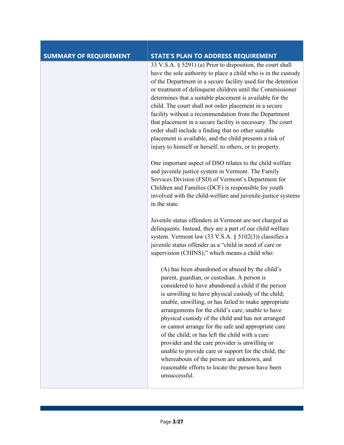| <b>SUMMARY OF REQUIREMENT</b> | <b>STATE'S PLAN TO ADDRESS REQUIREMENT</b>                                                                                                                                                                                                                                                                                                                                                                                                                                                                                                                                                                                                                                                                             |
|-------------------------------|------------------------------------------------------------------------------------------------------------------------------------------------------------------------------------------------------------------------------------------------------------------------------------------------------------------------------------------------------------------------------------------------------------------------------------------------------------------------------------------------------------------------------------------------------------------------------------------------------------------------------------------------------------------------------------------------------------------------|
|                               | 33 V.S.A. § 5291) (a) Prior to disposition, the court shall<br>have the sole authority to place a child who is in the custody<br>of the Department in a secure facility used for the detention<br>or treatment of delinquent children until the Commissioner<br>determines that a suitable placement is available for the<br>child. The court shall not order placement in a secure<br>facility without a recommendation from the Department<br>that placement in a secure facility is necessary. The court<br>order shall include a finding that no other suitable<br>placement is available, and the child presents a risk of<br>injury to himself or herself, to others, or to property.                            |
|                               | One important aspect of DSO relates to the child welfare<br>and juvenile justice system in Vermont. The Family<br>Services Division (FSD) of Vermont's Department for<br>Children and Families (DCF) is responsible for youth<br>involved with the child-welfare and juvenile-justice systems<br>in the state.                                                                                                                                                                                                                                                                                                                                                                                                         |
|                               | Juvenile status offenders in Vermont are not charged as<br>delinquents. Instead, they are a part of our child welfare<br>system. Vermont law (33 V.S.A. § 5102(3)) classifies a<br>juvenile status offender as a "child in need of care or<br>supervision (CHINS)," which means a child who:                                                                                                                                                                                                                                                                                                                                                                                                                           |
|                               | (A) has been abandoned or abused by the child's<br>parent, guardian, or custodian. A person is<br>considered to have abandoned a child if the person<br>is unwilling to have physical custody of the child;<br>unable, unwilling, or has failed to make appropriate<br>arrangements for the child's care; unable to have<br>physical custody of the child and has not arranged<br>or cannot arrange for the safe and appropriate care<br>of the child; or has left the child with a care<br>provider and the care provider is unwilling or<br>unable to provide care or support for the child, the<br>whereabouts of the person are unknown, and<br>reasonable efforts to locate the person have been<br>unsuccessful. |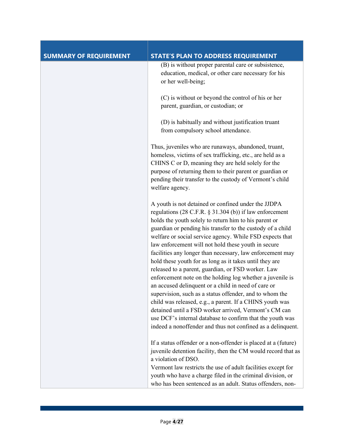| <b>SUMMARY OF REQUIREMENT</b> | <b>STATE'S PLAN TO ADDRESS REQUIREMENT</b>                                                                                                                                                                                                                                                                                                                                                                                                                                                                                                                                                                                                                                                                                                                                                                                                                                                                                                                                |
|-------------------------------|---------------------------------------------------------------------------------------------------------------------------------------------------------------------------------------------------------------------------------------------------------------------------------------------------------------------------------------------------------------------------------------------------------------------------------------------------------------------------------------------------------------------------------------------------------------------------------------------------------------------------------------------------------------------------------------------------------------------------------------------------------------------------------------------------------------------------------------------------------------------------------------------------------------------------------------------------------------------------|
|                               | (B) is without proper parental care or subsistence,<br>education, medical, or other care necessary for his<br>or her well-being;                                                                                                                                                                                                                                                                                                                                                                                                                                                                                                                                                                                                                                                                                                                                                                                                                                          |
|                               | (C) is without or beyond the control of his or her<br>parent, guardian, or custodian; or                                                                                                                                                                                                                                                                                                                                                                                                                                                                                                                                                                                                                                                                                                                                                                                                                                                                                  |
|                               | (D) is habitually and without justification truant<br>from compulsory school attendance.                                                                                                                                                                                                                                                                                                                                                                                                                                                                                                                                                                                                                                                                                                                                                                                                                                                                                  |
|                               | Thus, juveniles who are runaways, abandoned, truant,<br>homeless, victims of sex trafficking, etc., are held as a<br>CHINS C or D, meaning they are held solely for the<br>purpose of returning them to their parent or guardian or<br>pending their transfer to the custody of Vermont's child<br>welfare agency.                                                                                                                                                                                                                                                                                                                                                                                                                                                                                                                                                                                                                                                        |
|                               | A youth is not detained or confined under the JJDPA<br>regulations (28 C.F.R. $\S$ 31.304 (b)) if law enforcement<br>holds the youth solely to return him to his parent or<br>guardian or pending his transfer to the custody of a child<br>welfare or social service agency. While FSD expects that<br>law enforcement will not hold these youth in secure<br>facilities any longer than necessary, law enforcement may<br>hold these youth for as long as it takes until they are<br>released to a parent, guardian, or FSD worker. Law<br>enforcement note on the holding log whether a juvenile is<br>an accused delinquent or a child in need of care or<br>supervision, such as a status offender, and to whom the<br>child was released, e.g., a parent. If a CHINS youth was<br>detained until a FSD worker arrived, Vermont's CM can<br>use DCF's internal database to confirm that the youth was<br>indeed a nonoffender and thus not confined as a delinquent. |
|                               | If a status offender or a non-offender is placed at a (future)<br>juvenile detention facility, then the CM would record that as<br>a violation of DSO.<br>Vermont law restricts the use of adult facilities except for<br>youth who have a charge filed in the criminal division, or<br>who has been sentenced as an adult. Status offenders, non-                                                                                                                                                                                                                                                                                                                                                                                                                                                                                                                                                                                                                        |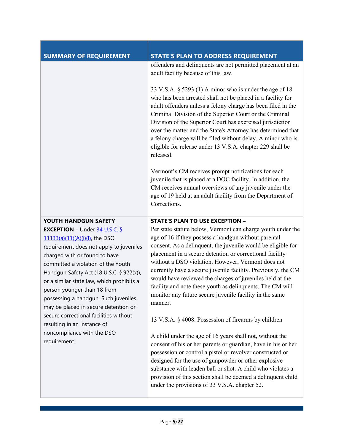| <b>SUMMARY OF REQUIREMENT</b>                                                                                                                                                                                                                                                                                                                                                                                                                                                                                                                                                                                  | <b>STATE'S PLAN TO ADDRESS REQUIREMENT</b>                                                                                                                                                                                                                                                                                                                                                                                                                                                                                                                                                                                                                                                                                                                                                                                                                                                                                                                                                                                                                                                               |
|----------------------------------------------------------------------------------------------------------------------------------------------------------------------------------------------------------------------------------------------------------------------------------------------------------------------------------------------------------------------------------------------------------------------------------------------------------------------------------------------------------------------------------------------------------------------------------------------------------------|----------------------------------------------------------------------------------------------------------------------------------------------------------------------------------------------------------------------------------------------------------------------------------------------------------------------------------------------------------------------------------------------------------------------------------------------------------------------------------------------------------------------------------------------------------------------------------------------------------------------------------------------------------------------------------------------------------------------------------------------------------------------------------------------------------------------------------------------------------------------------------------------------------------------------------------------------------------------------------------------------------------------------------------------------------------------------------------------------------|
|                                                                                                                                                                                                                                                                                                                                                                                                                                                                                                                                                                                                                | offenders and delinquents are not permitted placement at an<br>adult facility because of this law.                                                                                                                                                                                                                                                                                                                                                                                                                                                                                                                                                                                                                                                                                                                                                                                                                                                                                                                                                                                                       |
|                                                                                                                                                                                                                                                                                                                                                                                                                                                                                                                                                                                                                | 33 V.S.A. $\S$ 5293 (1) A minor who is under the age of 18<br>who has been arrested shall not be placed in a facility for<br>adult offenders unless a felony charge has been filed in the<br>Criminal Division of the Superior Court or the Criminal<br>Division of the Superior Court has exercised jurisdiction<br>over the matter and the State's Attorney has determined that<br>a felony charge will be filed without delay. A minor who is<br>eligible for release under 13 V.S.A. chapter 229 shall be<br>released.                                                                                                                                                                                                                                                                                                                                                                                                                                                                                                                                                                               |
|                                                                                                                                                                                                                                                                                                                                                                                                                                                                                                                                                                                                                | Vermont's CM receives prompt notifications for each<br>juvenile that is placed at a DOC facility. In addition, the<br>CM receives annual overviews of any juvenile under the<br>age of 19 held at an adult facility from the Department of<br>Corrections.                                                                                                                                                                                                                                                                                                                                                                                                                                                                                                                                                                                                                                                                                                                                                                                                                                               |
| YOUTH HANDGUN SAFETY<br><b>EXCEPTION</b> – Under $\frac{34 \text{ U.S.C. } \frac{5}{24}}{24 \text{ U.S. C. } \frac{5}{24}}$<br>11133(a)(11)(A)(i)(l), the DSO<br>requirement does not apply to juveniles<br>charged with or found to have<br>committed a violation of the Youth<br>Handgun Safety Act (18 U.S.C. § 922(x)),<br>or a similar state law, which prohibits a<br>person younger than 18 from<br>possessing a handgun. Such juveniles<br>may be placed in secure detention or<br>secure correctional facilities without<br>resulting in an instance of<br>noncompliance with the DSO<br>requirement. | <b>STATE'S PLAN TO USE EXCEPTION -</b><br>Per state statute below, Vermont can charge youth under the<br>age of 16 if they possess a handgun without parental<br>consent. As a delinquent, the juvenile would be eligible for<br>placement in a secure detention or correctional facility<br>without a DSO violation. However, Vermont does not<br>currently have a secure juvenile facility. Previously, the CM<br>would have reviewed the charges of juveniles held at the<br>facility and note these youth as delinquents. The CM will<br>monitor any future secure juvenile facility in the same<br>manner.<br>13 V.S.A. § 4008. Possession of firearms by children<br>A child under the age of 16 years shall not, without the<br>consent of his or her parents or guardian, have in his or her<br>possession or control a pistol or revolver constructed or<br>designed for the use of gunpowder or other explosive<br>substance with leaden ball or shot. A child who violates a<br>provision of this section shall be deemed a delinquent child<br>under the provisions of 33 V.S.A. chapter 52. |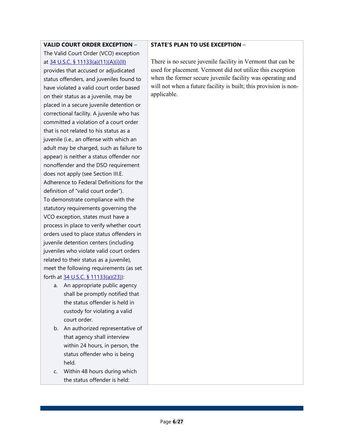#### **VALID COURT ORDER EXCEPTION** –

The Valid Court Order (VCO) exception at [34 U.S.C. § 11133\(a\)\(11\)\(A\)\(i\)\(II\)](https://ojjdp.ojp.gov/sites/g/files/xyckuh176/files/media/document/JJDPA-of-1974-as-Amended-12-21-18.pdf#page=26) provides that accused or adjudicated status offenders, and juveniles found to have violated a valid court order based on their status as a juvenile, may be placed in a secure juvenile detention or correctional facility. A juvenile who has committed a violation of a court order that is not related to his status as a juvenile (i.e., an offense with which an adult may be charged, such as failure to appear) is neither a status offender nor nonoffender and the DSO requirement does not apply (see Section III.E. Adherence to Federal Definitions for the definition of "valid court order"). To demonstrate compliance with the statutory requirements governing the VCO exception, states must have a process in place to verify whether court orders used to place status offenders in juvenile detention centers (including juveniles who violate valid court orders related to their status as a juvenile), meet the following requirements (as set forth at [34 U.S.C. § 11133\(a\)\(23\)\):](https://ojjdp.ojp.gov/sites/g/files/xyckuh176/files/media/document/JJDPA-of-1974-as-Amended-12-21-18.pdf#page=29)

- a. An appropriate public agency shall be promptly notified that the status offender is held in custody for violating a valid court order.
- b. An authorized representative of that agency shall interview within 24 hours, in person, the status offender who is being held.
- c. Within 48 hours during which the status offender is held:

#### **STATE'S PLAN TO USE EXCEPTION** –

There is no secure juvenile facility in Vermont that can be used for placement. Vermont did not utilize this exception when the former secure juvenile facility was operating and will not when a future facility is built; this provision is nonapplicable.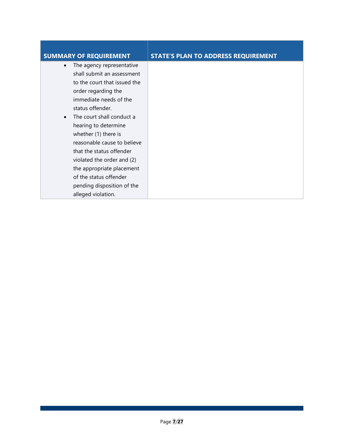| <b>SUMMARY OF REQUIREMENT</b> | <b>STATE'S PLAN TO ADDRESS REQUIREMENT</b> |
|-------------------------------|--------------------------------------------|
| The agency representative     |                                            |
| shall submit an assessment    |                                            |
| to the court that issued the  |                                            |
| order regarding the           |                                            |
| immediate needs of the        |                                            |
| status offender.              |                                            |
| The court shall conduct a     |                                            |
| hearing to determine          |                                            |
| whether (1) there is          |                                            |
| reasonable cause to believe   |                                            |
| that the status offender      |                                            |
| violated the order and (2)    |                                            |
| the appropriate placement     |                                            |
| of the status offender        |                                            |
| pending disposition of the    |                                            |
| alleged violation.            |                                            |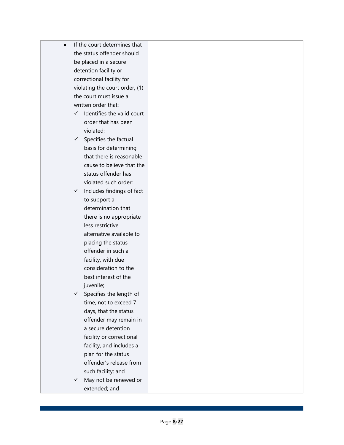- If the court determines that the status offender should be placed in a secure detention facility or correctional facility for violating the court order, (1) the court must issue a written order that:
	- $\checkmark$  Identifies the valid court order that has been violated;
	- $\checkmark$  Specifies the factual basis for determining that there is reasonable cause to believe that the status offender has violated such order;
	- $\checkmark$  Includes findings of fact to support a determination that there is no appropriate less restrictive alternative available to placing the status offender in such a facility, with due consideration to the best interest of the juvenile;
	- $\checkmark$  Specifies the length of time, not to exceed 7 days, that the status offender may remain in a secure detention facility or correctional facility, and includes a plan for the status offender's release from such facility; and
	- $\checkmark$  May not be renewed or extended; and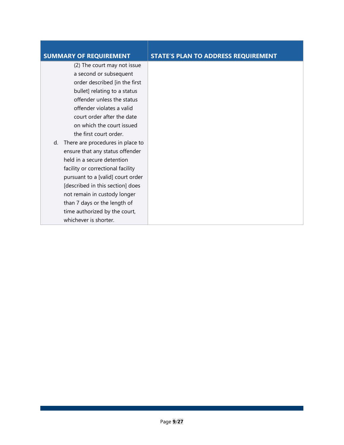(2) The court may not issue a second or subsequent order described [in the first bullet] relating to a status offender unless the status offender violates a valid court order after the date on which the court issued the first court order.

d. There are procedures in place to ensure that any status offender held in a secure detention facility or correctional facility pursuant to a [valid] court order [described in this section] does not remain in custody longer than 7 days or the length of time authorized by the court, whichever is shorter.

### **SUMMARY OF REQUIREMENT STATE'S PLAN TO ADDRESS REQUIREMENT**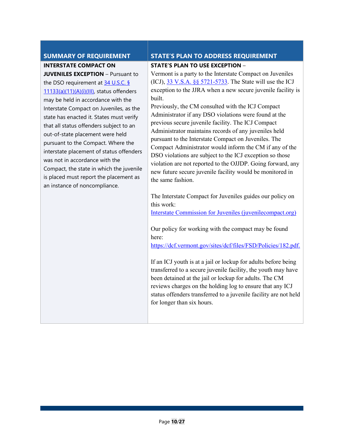**INTERSTATE COMPACT ON** 

**JUVENILES EXCEPTION** – Pursuant to the DSO requirement at [34 U.S.C. §](https://ojjdp.ojp.gov/sites/g/files/xyckuh176/files/media/document/JJDPA-of-1974-as-Amended-12-21-18.pdf#page=26)  [11133\(a\)\(11\)\(A\)\(i\)\(III\),](https://ojjdp.ojp.gov/sites/g/files/xyckuh176/files/media/document/JJDPA-of-1974-as-Amended-12-21-18.pdf#page=26) status offenders may be held in accordance with the Interstate Compact on Juveniles, as the state has enacted it. States must verify that all status offenders subject to an out-of-state placement were held pursuant to the Compact. Where the interstate placement of status offenders was not in accordance with the Compact, the state in which the juvenile is placed must report the placement as an instance of noncompliance.

### **SUMMARY OF REQUIREMENT STATE'S PLAN TO ADDRESS REQUIREMENT**

#### **STATE'S PLAN TO USE EXCEPTION** –

Vermont is a party to the Interstate Compact on Juveniles (ICJ),  $33 \text{ V.S.A.}$  §§ 5721-5733. The State will use the ICJ exception to the JJRA when a new secure juvenile facility is built.

Previously, the CM consulted with the ICJ Compact Administrator if any DSO violations were found at the previous secure juvenile facility. The ICJ Compact Administrator maintains records of any juveniles held pursuant to the Interstate Compact on Juveniles. The Compact Administrator would inform the CM if any of the DSO violations are subject to the ICJ exception so those violation are not reported to the OJJDP. Going forward, any new future secure juvenile facility would be monitored in the same fashion.

The Interstate Compact for Juveniles guides our policy on this work:

[Interstate Commission for Juveniles \(juvenilecompact.org\)](https://www.juvenilecompact.org/) 

Our policy for working with the compact may be found here:

[https://dcf.vermont.gov/sites/dcf/files/FSD/Policies/182.pdf.](https://dcf.vermont.gov/sites/dcf/files/FSD/Policies/182.pdf)

If an ICJ youth is at a jail or lockup for adults before being transferred to a secure juvenile facility, the youth may have been detained at the jail or lockup for adults. The CM reviews charges on the holding log to ensure that any ICJ status offenders transferred to a juvenile facility are not held for longer than six hours.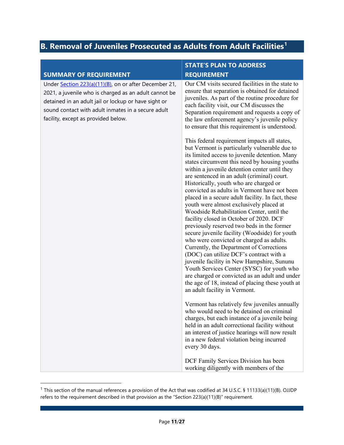## <span id="page-13-0"></span>**B. Removal of Juveniles Prosecuted as Adults from Adult Facilities[1](#page-13-1)**

|                                                                                                                                                                                                                                                                     | <b>STATE'S PLAN TO ADDRESS</b>                                                                                                                                                                                                                                                                                                                                                                                                                                                                                                                                                                                                                                                                                                                                                                                                                                                                                                                                                                                                                          |
|---------------------------------------------------------------------------------------------------------------------------------------------------------------------------------------------------------------------------------------------------------------------|---------------------------------------------------------------------------------------------------------------------------------------------------------------------------------------------------------------------------------------------------------------------------------------------------------------------------------------------------------------------------------------------------------------------------------------------------------------------------------------------------------------------------------------------------------------------------------------------------------------------------------------------------------------------------------------------------------------------------------------------------------------------------------------------------------------------------------------------------------------------------------------------------------------------------------------------------------------------------------------------------------------------------------------------------------|
| <b>SUMMARY OF REQUIREMENT</b>                                                                                                                                                                                                                                       | <b>REQUIREMENT</b>                                                                                                                                                                                                                                                                                                                                                                                                                                                                                                                                                                                                                                                                                                                                                                                                                                                                                                                                                                                                                                      |
| Under Section 223(a)(11)(B), on or after December 21,<br>2021, a juvenile who is charged as an adult cannot be<br>detained in an adult jail or lockup or have sight or<br>sound contact with adult inmates in a secure adult<br>facility, except as provided below. | Our CM visits secured facilities in the state to<br>ensure that separation is obtained for detained<br>juveniles. As part of the routine procedure for<br>each facility visit, our CM discusses the<br>Separation requirement and requests a copy of<br>the law enforcement agency's juvenile policy<br>to ensure that this requirement is understood.                                                                                                                                                                                                                                                                                                                                                                                                                                                                                                                                                                                                                                                                                                  |
|                                                                                                                                                                                                                                                                     | This federal requirement impacts all states,<br>but Vermont is particularly vulnerable due to<br>its limited access to juvenile detention. Many<br>states circumvent this need by housing youths<br>within a juvenile detention center until they<br>are sentenced in an adult (criminal) court.<br>Historically, youth who are charged or<br>convicted as adults in Vermont have not been<br>placed in a secure adult facility. In fact, these<br>youth were almost exclusively placed at<br>Woodside Rehabilitation Center, until the<br>facility closed in October of 2020. DCF<br>previously reserved two beds in the former<br>secure juvenile facility (Woodside) for youth<br>who were convicted or charged as adults.<br>Currently, the Department of Corrections<br>(DOC) can utilize DCF's contract with a<br>juvenile facility in New Hampshire, Sununu<br>Youth Services Center (SYSC) for youth who<br>are charged or convicted as an adult and under<br>the age of 18, instead of placing these youth at<br>an adult facility in Vermont. |
|                                                                                                                                                                                                                                                                     | Vermont has relatively few juveniles annually<br>who would need to be detained on criminal<br>charges, but each instance of a juvenile being<br>held in an adult correctional facility without<br>an interest of justice hearings will now result<br>in a new federal violation being incurred<br>every 30 days.                                                                                                                                                                                                                                                                                                                                                                                                                                                                                                                                                                                                                                                                                                                                        |
|                                                                                                                                                                                                                                                                     | DCF Family Services Division has been<br>working diligently with members of the                                                                                                                                                                                                                                                                                                                                                                                                                                                                                                                                                                                                                                                                                                                                                                                                                                                                                                                                                                         |

<span id="page-13-1"></span><sup>&</sup>lt;sup>1</sup> This section of the manual references a provision of the Act that was codified at 34 U.S.C. § 11133(a)(11)(B). OJJDP refers to the requirement described in that provision as the "Section 223(a)(11)(B)" requirement.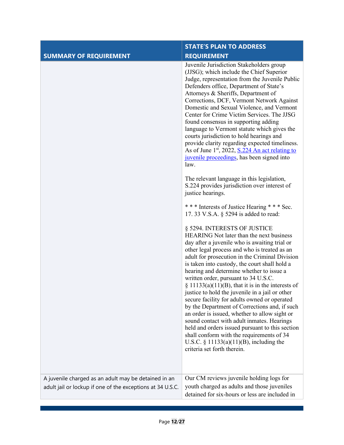|                                                                                                                    | <b>STATE'S PLAN TO ADDRESS</b>                                                                                                                                                                                                                                                                                                                                                                                                                                                                                                                                                                                                                                                                                                                                                                                                                           |
|--------------------------------------------------------------------------------------------------------------------|----------------------------------------------------------------------------------------------------------------------------------------------------------------------------------------------------------------------------------------------------------------------------------------------------------------------------------------------------------------------------------------------------------------------------------------------------------------------------------------------------------------------------------------------------------------------------------------------------------------------------------------------------------------------------------------------------------------------------------------------------------------------------------------------------------------------------------------------------------|
| <b>SUMMARY OF REQUIREMENT</b>                                                                                      | <b>REQUIREMENT</b>                                                                                                                                                                                                                                                                                                                                                                                                                                                                                                                                                                                                                                                                                                                                                                                                                                       |
|                                                                                                                    | Juvenile Jurisdiction Stakeholders group<br>(JJSG); which include the Chief Superior<br>Judge, representation from the Juvenile Public<br>Defenders office, Department of State's<br>Attorneys & Sheriffs, Department of<br>Corrections, DCF, Vermont Network Against<br>Domestic and Sexual Violence, and Vermont<br>Center for Crime Victim Services. The JJSG<br>found consensus in supporting adding<br>language to Vermont statute which gives the<br>courts jurisdiction to hold hearings and<br>provide clarity regarding expected timeliness.<br>As of June 1st, 2022, S.224 An act relating to<br>juvenile proceedings, has been signed into<br>law.<br>The relevant language in this legislation,<br>S.224 provides jurisdiction over interest of<br>justice hearings.                                                                         |
|                                                                                                                    | *** Interests of Justice Hearing *** Sec.<br>17.33 V.S.A. § 5294 is added to read:                                                                                                                                                                                                                                                                                                                                                                                                                                                                                                                                                                                                                                                                                                                                                                       |
|                                                                                                                    | § 5294. INTERESTS OF JUSTICE<br>HEARING Not later than the next business<br>day after a juvenile who is awaiting trial or<br>other legal process and who is treated as an<br>adult for prosecution in the Criminal Division<br>is taken into custody, the court shall hold a<br>hearing and determine whether to issue a<br>written order, pursuant to 34 U.S.C.<br>$\S$ 11133(a)(11)(B), that it is in the interests of<br>justice to hold the juvenile in a jail or other<br>secure facility for adults owned or operated<br>by the Department of Corrections and, if such<br>an order is issued, whether to allow sight or<br>sound contact with adult inmates. Hearings<br>held and orders issued pursuant to this section<br>shall conform with the requirements of 34<br>U.S.C. $\S$ 11133(a)(11)(B), including the<br>criteria set forth therein. |
| A juvenile charged as an adult may be detained in an<br>adult jail or lockup if one of the exceptions at 34 U.S.C. | Our CM reviews juvenile holding logs for<br>youth charged as adults and those juveniles                                                                                                                                                                                                                                                                                                                                                                                                                                                                                                                                                                                                                                                                                                                                                                  |
|                                                                                                                    | detained for six-hours or less are included in                                                                                                                                                                                                                                                                                                                                                                                                                                                                                                                                                                                                                                                                                                                                                                                                           |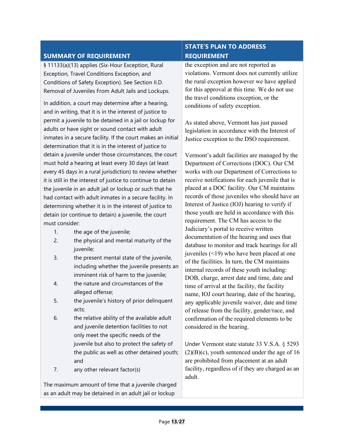### **SUMMARY OF REQUIREMENT**

§ 11133(a)(13) applies (Six-Hour Exception, Rural Exception, Travel Conditions Exception, and Conditions of Safety Exception). See Section II.D. Removal of Juveniles From Adult Jails and Lockups.

In addition, a court may determine after a hearing, and in writing, that it is in the interest of justice to permit a juvenile to be detained in a jail or lockup for adults or have sight or sound contact with adult inmates in a secure facility. If the court makes an initial determination that it is in the interest of justice to detain a juvenile under those circumstances, the court must hold a hearing at least every 30 days (at least every 45 days in a rural jurisdiction) to review whether it is still in the interest of justice to continue to detain the juvenile in an adult jail or lockup or such that he had contact with adult inmates in a secure facility. In determining whether it is in the interest of justice to detain (or continue to detain) a juvenile, the court must consider:

- 1. the age of the juvenile;
- 2. the physical and mental maturity of the juvenile;
- 3. the present mental state of the juvenile, including whether the juvenile presents an imminent risk of harm to the juvenile;
- 4. the nature and circumstances of the alleged offense;
- 5. the juvenile's history of prior delinquent acts;
- 6. the relative ability of the available adult and juvenile detention facilities to not only meet the specific needs of the juvenile but also to protect the safety of the public as well as other detained youth; and
- 7. any other relevant factor(s)

The maximum amount of time that a juvenile charged as an adult may be detained in an adult jail or lockup

### **STATE'S PLAN TO ADDRESS REQUIREMENT**

the exception and are not reported as violations. Vermont does not currently utilize the rural exception however we have applied for this approval at this time. We do not use the travel conditions exception, or the conditions of safety exception.

As stated above, Vermont has just passed legislation in accordance with the Interest of Justice exception to the DSO requirement.

Vermont's adult facilities are managed by the Department of Corrections (DOC). Our CM works with our Department of Corrections to receive notifications for each juvenile that is placed at a DOC facility. Our CM maintains records of those juveniles who should have an Interest of Justice (IOJ) hearing to verify if those youth are held in accordance with this requirement. The CM has access to the Judiciary's portal to receive written documentation of the hearing and uses that database to monitor and track hearings for all juveniles (<19) who have been placed at one of the facilities. In turn, the CM maintains internal records of these youth including: DOB, charge, arrest date and time, date and time of arrival at the facility, the facility name, IOJ court hearing, date of the hearing, any applicable juvenile waiver, date and time of release from the facility, gender/race, and confirmation of the required elements to be considered in the hearing.

Under Vermont state statute 33 V.S.A. § 5293  $(2)(B)(c)$ , youth sentenced under the age of 16 are prohibited from placement at an adult facility, regardless of if they are charged as an adult.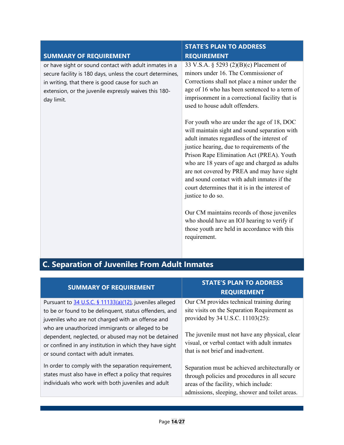| <b>SUMMARY OF REQUIREMENT</b>                                                                                                                                                                                                                  | <b>STATE'S PLAN TO ADDRESS</b><br><b>REQUIREMENT</b>                                                                                                                                                                                                                                                                                                                                                                                                        |
|------------------------------------------------------------------------------------------------------------------------------------------------------------------------------------------------------------------------------------------------|-------------------------------------------------------------------------------------------------------------------------------------------------------------------------------------------------------------------------------------------------------------------------------------------------------------------------------------------------------------------------------------------------------------------------------------------------------------|
| or have sight or sound contact with adult inmates in a<br>secure facility is 180 days, unless the court determines,<br>in writing, that there is good cause for such an<br>extension, or the juvenile expressly waives this 180-<br>day limit. | 33 V.S.A. § 5293 (2)(B)(c) Placement of<br>minors under 16. The Commissioner of<br>Corrections shall not place a minor under the<br>age of 16 who has been sentenced to a term of<br>imprisonment in a correctional facility that is<br>used to house adult offenders.                                                                                                                                                                                      |
|                                                                                                                                                                                                                                                | For youth who are under the age of 18, DOC<br>will maintain sight and sound separation with<br>adult inmates regardless of the interest of<br>justice hearing, due to requirements of the<br>Prison Rape Elimination Act (PREA). Youth<br>who are 18 years of age and charged as adults<br>are not covered by PREA and may have sight<br>and sound contact with adult inmates if the<br>court determines that it is in the interest of<br>justice to do so. |
|                                                                                                                                                                                                                                                | Our CM maintains records of those juveniles<br>who should have an IOJ hearing to verify if<br>those youth are held in accordance with this<br>requirement.                                                                                                                                                                                                                                                                                                  |

<span id="page-16-0"></span>

| <b>C. Separation of Juveniles From Adult Inmates</b> |  |  |
|------------------------------------------------------|--|--|
|                                                      |  |  |

| <b>SUMMARY OF REQUIREMENT</b>                                                                                                                                                                                                                                                     | <b>STATE'S PLAN TO ADDRESS</b><br><b>REQUIREMENT</b>                                                                                                                                       |
|-----------------------------------------------------------------------------------------------------------------------------------------------------------------------------------------------------------------------------------------------------------------------------------|--------------------------------------------------------------------------------------------------------------------------------------------------------------------------------------------|
| Pursuant to 34 U.S.C. § 11133(a)(12), juveniles alleged<br>to be or found to be delinquent, status offenders, and<br>juveniles who are not charged with an offense and<br>who are unauthorized immigrants or alleged to be<br>dependent, neglected, or abused may not be detained | Our CM provides technical training during<br>site visits on the Separation Requirement as<br>provided by 34 U.S.C. 11103(25):<br>The juvenile must not have any physical, clear            |
| or confined in any institution in which they have sight<br>or sound contact with adult inmates.                                                                                                                                                                                   | visual, or verbal contact with adult inmates<br>that is not brief and inadvertent.                                                                                                         |
| In order to comply with the separation requirement,<br>states must also have in effect a policy that requires<br>individuals who work with both juveniles and adult                                                                                                               | Separation must be achieved architecturally or<br>through policies and procedures in all secure<br>areas of the facility, which include:<br>admissions, sleeping, shower and toilet areas. |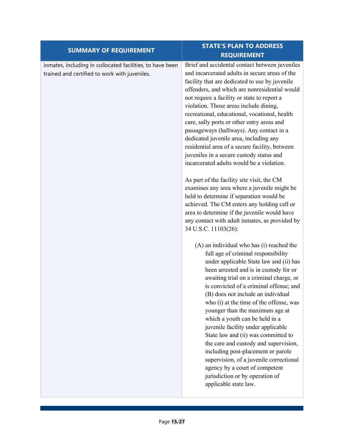| <b>SUMMARY OF REQUIREMENT</b>                                                                              | <b>STATE'S PLAN TO ADDRESS</b>                                                                                                                                                                                                                                                                                                                                                                                                                                                                                                                                                                                                                                                                                                                                                                                                                                                                                                                                                                                                                                                                                                                                                                                                                                                                                                                                                                                                                                                                                                                                                                                                                                           |
|------------------------------------------------------------------------------------------------------------|--------------------------------------------------------------------------------------------------------------------------------------------------------------------------------------------------------------------------------------------------------------------------------------------------------------------------------------------------------------------------------------------------------------------------------------------------------------------------------------------------------------------------------------------------------------------------------------------------------------------------------------------------------------------------------------------------------------------------------------------------------------------------------------------------------------------------------------------------------------------------------------------------------------------------------------------------------------------------------------------------------------------------------------------------------------------------------------------------------------------------------------------------------------------------------------------------------------------------------------------------------------------------------------------------------------------------------------------------------------------------------------------------------------------------------------------------------------------------------------------------------------------------------------------------------------------------------------------------------------------------------------------------------------------------|
|                                                                                                            | <b>REQUIREMENT</b>                                                                                                                                                                                                                                                                                                                                                                                                                                                                                                                                                                                                                                                                                                                                                                                                                                                                                                                                                                                                                                                                                                                                                                                                                                                                                                                                                                                                                                                                                                                                                                                                                                                       |
| inmates, including in collocated facilities, to have been<br>trained and certified to work with juveniles. | Brief and accidental contact between juveniles<br>and incarcerated adults in secure areas of the<br>facility that are dedicated to use by juvenile<br>offenders, and which are nonresidential would<br>not require a facility or state to report a<br>violation. Those areas include dining,<br>recreational, educational, vocational, health<br>care, sally ports or other entry areas and<br>passageways (hallways). Any contact in a<br>dedicated juvenile area, including any<br>residential area of a secure facility, between<br>juveniles in a secure custody status and<br>incarcerated adults would be a violation.<br>As part of the facility site visit, the CM<br>examines any area where a juvenile might be<br>held to determine if separation would be<br>achieved. The CM enters any holding cell or<br>area to determine if the juvenile would have<br>any contact with adult inmates, as provided by<br>34 U.S.C. 11103(26):<br>(A) an individual who has (i) reached the<br>full age of criminal responsibility<br>under applicable State law and (ii) has<br>been arrested and is in custody for or<br>awaiting trial on a criminal charge, or<br>is convicted of a criminal offense; and<br>(B) does not include an individual<br>who (i) at the time of the offense, was<br>younger than the maximum age at<br>which a youth can be held in a<br>juvenile facility under applicable<br>State law and (ii) was committed to<br>the care and custody and supervision,<br>including post-placement or parole<br>supervision, of a juvenile correctional<br>agency by a court of competent<br>jurisdiction or by operation of<br>applicable state law. |
|                                                                                                            |                                                                                                                                                                                                                                                                                                                                                                                                                                                                                                                                                                                                                                                                                                                                                                                                                                                                                                                                                                                                                                                                                                                                                                                                                                                                                                                                                                                                                                                                                                                                                                                                                                                                          |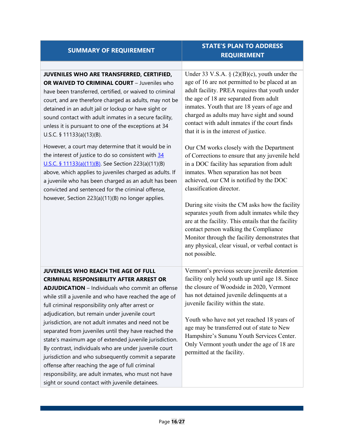| <b>SUMMARY OF REQUIREMENT</b>                                                                                                                                                                                                                                                                                                                                                                                                                                                                                                                                                                                                                                                                                                                                                                                            | <b>STATE'S PLAN TO ADDRESS</b><br><b>REQUIREMENT</b>                                                                                                                                                                                                                                                                                                                                                                                                                                                                                                                                                                                                                                                                                                                                                                                                                                                                                                                           |
|--------------------------------------------------------------------------------------------------------------------------------------------------------------------------------------------------------------------------------------------------------------------------------------------------------------------------------------------------------------------------------------------------------------------------------------------------------------------------------------------------------------------------------------------------------------------------------------------------------------------------------------------------------------------------------------------------------------------------------------------------------------------------------------------------------------------------|--------------------------------------------------------------------------------------------------------------------------------------------------------------------------------------------------------------------------------------------------------------------------------------------------------------------------------------------------------------------------------------------------------------------------------------------------------------------------------------------------------------------------------------------------------------------------------------------------------------------------------------------------------------------------------------------------------------------------------------------------------------------------------------------------------------------------------------------------------------------------------------------------------------------------------------------------------------------------------|
| JUVENILES WHO ARE TRANSFERRED, CERTIFIED,<br>OR WAIVED TO CRIMINAL COURT - Juveniles who<br>have been transferred, certified, or waived to criminal<br>court, and are therefore charged as adults, may not be<br>detained in an adult jail or lockup or have sight or<br>sound contact with adult inmates in a secure facility,<br>unless it is pursuant to one of the exceptions at 34<br>U.S.C. § $11133(a)(13)(B)$ .<br>However, a court may determine that it would be in<br>the interest of justice to do so consistent with 34<br>U.S.C. § 11133(a)(11)(B). See Section 223(a)(11)(B)<br>above, which applies to juveniles charged as adults. If<br>a juvenile who has been charged as an adult has been<br>convicted and sentenced for the criminal offense,<br>however, Section 223(a)(11)(B) no longer applies. | Under 33 V.S.A. § $(2)(B)(c)$ , youth under the<br>age of 16 are not permitted to be placed at an<br>adult facility. PREA requires that youth under<br>the age of 18 are separated from adult<br>inmates. Youth that are 18 years of age and<br>charged as adults may have sight and sound<br>contact with adult inmates if the court finds<br>that it is in the interest of justice.<br>Our CM works closely with the Department<br>of Corrections to ensure that any juvenile held<br>in a DOC facility has separation from adult<br>inmates. When separation has not been<br>achieved, our CM is notified by the DOC<br>classification director.<br>During site visits the CM asks how the facility<br>separates youth from adult inmates while they<br>are at the facility. This entails that the facility<br>contact person walking the Compliance<br>Monitor through the facility demonstrates that<br>any physical, clear visual, or verbal contact is<br>not possible. |
| <b>JUVENILES WHO REACH THE AGE OF FULL</b><br><b>CRIMINAL RESPONSIBILITY AFTER ARREST OR</b><br><b>ADJUDICATION</b> - Individuals who commit an offense<br>while still a juvenile and who have reached the age of<br>full criminal responsibility only after arrest or<br>adjudication, but remain under juvenile court<br>jurisdiction, are not adult inmates and need not be<br>separated from juveniles until they have reached the<br>state's maximum age of extended juvenile jurisdiction.<br>By contrast, individuals who are under juvenile court<br>jurisdiction and who subsequently commit a separate<br>offense after reaching the age of full criminal<br>responsibility, are adult inmates, who must not have<br>sight or sound contact with juvenile detainees.                                           | Vermont's previous secure juvenile detention<br>facility only held youth up until age 18. Since<br>the closure of Woodside in 2020, Vermont<br>has not detained juvenile delinquents at a<br>juvenile facility within the state.<br>Youth who have not yet reached 18 years of<br>age may be transferred out of state to New<br>Hampshire's Sununu Youth Services Center.<br>Only Vermont youth under the age of 18 are<br>permitted at the facility.                                                                                                                                                                                                                                                                                                                                                                                                                                                                                                                          |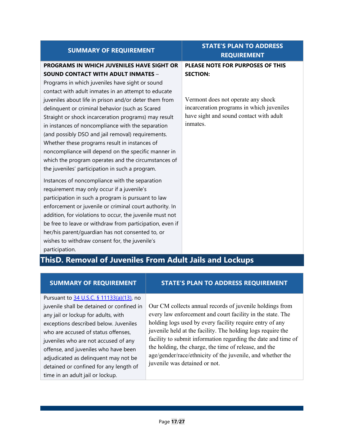| <b>SUMMARY OF REQUIREMENT</b>                            | 11 E 9 I EAR TV ADDRESS<br><b>REQUIREMENT</b> |
|----------------------------------------------------------|-----------------------------------------------|
| <b>PROGRAMS IN WHICH JUVENILES HAVE SIGHT OR</b>         | <b>PLEASE NOTE FOR PURPOSES OF THIS</b>       |
| <b>SOUND CONTACT WITH ADULT INMATES -</b>                | <b>SECTION:</b>                               |
| Programs in which juveniles have sight or sound          |                                               |
| contact with adult inmates in an attempt to educate      |                                               |
| juveniles about life in prison and/or deter them from    | Vermont does not operate any shock            |
| delinquent or criminal behavior (such as Scared          | incarceration programs in which juveniles     |
| Straight or shock incarceration programs) may result     | have sight and sound contact with adult       |
| in instances of noncompliance with the separation        | inmates.                                      |
| (and possibly DSO and jail removal) requirements.        |                                               |
| Whether these programs result in instances of            |                                               |
| noncompliance will depend on the specific manner in      |                                               |
| which the program operates and the circumstances of      |                                               |
| the juveniles' participation in such a program.          |                                               |
| Instances of noncompliance with the separation           |                                               |
| requirement may only occur if a juvenile's               |                                               |
| participation in such a program is pursuant to law       |                                               |
| enforcement or juvenile or criminal court authority. In  |                                               |
| addition, for violations to occur, the juvenile must not |                                               |
| be free to leave or withdraw from participation, even if |                                               |
| her/his parent/guardian has not consented to, or         |                                               |
| wishes to withdraw consent for, the juvenile's           |                                               |
| participation.                                           |                                               |
| ThisD. Removal of Juveniles From Adult Jails and Lockups |                                               |
|                                                          |                                               |

### Pursuant to [34 U.S.C. § 11133\(a\)\(13\),](https://ojjdp.ojp.gov/sites/g/files/xyckuh176/files/media/document/JJDPA-of-1974-as-Amended-12-21-18.pdf) no juvenile shall be detained or confined in any jail or lockup for adults, with exceptions described below. Juveniles who are accused of status offenses. juveniles who are not accused of any offense, and juveniles who have been adjudicated as delinquent may not be detained or confined for any length of time in an adult jail or lockup.

### <span id="page-19-0"></span>**SUMMARY OF REQUIREMENT STATE'S PLAN TO ADDRESS REQUIREMENT**

**STATE'S PLAN TO ADDRESS** 

Our CM collects annual records of juvenile holdings from every law enforcement and court facility in the state. The holding logs used by every facility require entry of any juvenile held at the facility. The holding logs require the facility to submit information regarding the date and time of the holding, the charge, the time of release, and the age/gender/race/ethnicity of the juvenile, and whether the juvenile was detained or not.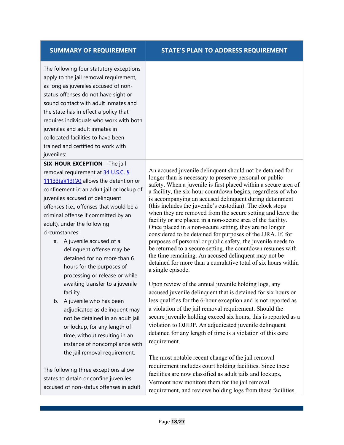### **SUMMARY OF REQUIREMENT STATE'S PLAN TO ADDRESS REQUIREMENT**

The following four statutory exceptions apply to the jail removal requirement, as long as juveniles accused of nonstatus offenses do not have sight or sound contact with adult inmates and the state has in effect a policy that requires individuals who work with both juveniles and adult inmates in collocated facilities to have been trained and certified to work with juveniles:

**SIX-HOUR EXCEPTION** – The jail removal requirement at 34 U.S.C. § [11133\(a\)\(13\)\(A\)](https://ojjdp.ojp.gov/sites/g/files/xyckuh176/files/media/document/JJDPA-of-1974-as-Amended-12-21-18.pdf) allows the detention or confinement in an adult jail or lockup of juveniles accused of delinquent offenses (i.e., offenses that would be a criminal offense if committed by an adult), under the following circumstances:

- a. A juvenile accused of a delinquent offense may be detained for no more than 6 hours for the purposes of processing or release or while awaiting transfer to a juvenile facility.
- b. A juvenile who has been adjudicated as delinquent may not be detained in an adult jail or lockup, for any length of time, without resulting in an instance of noncompliance with the jail removal requirement.

The following three exceptions allow states to detain or confine juveniles accused of non-status offenses in adult An accused juvenile delinquent should not be detained for longer than is necessary to preserve personal or public safety. When a juvenile is first placed within a secure area of a facility, the six-hour countdown begins, regardless of who is accompanying an accused delinquent during detainment (this includes the juvenile's custodian). The clock stops when they are removed from the secure setting and leave the facility or are placed in a non-secure area of the facility. Once placed in a non-secure setting, they are no longer considered to be detained for purposes of the JJRA. If, for purposes of personal or public safety, the juvenile needs to be returned to a secure setting, the countdown resumes with the time remaining. An accused delinquent may not be detained for more than a cumulative total of six hours within a single episode.

Upon review of the annual juvenile holding logs, any accused juvenile delinquent that is detained for six hours or less qualifies for the 6-hour exception and is not reported as a violation of the jail removal requirement. Should the secure juvenile holding exceed six hours, this is reported as a violation to OJJDP. An adjudicated juvenile delinquent detained for any length of time is a violation of this core requirement.

The most notable recent change of the jail removal requirement includes court holding facilities. Since these facilities are now classified as adult jails and lockups, Vermont now monitors them for the jail removal requirement, and reviews holding logs from these facilities.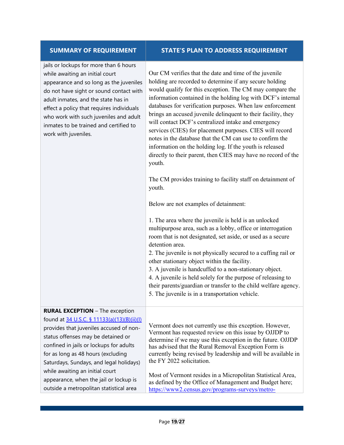#### **SUMMARY OF REQUIREMENT STATE'S PLAN TO ADDRESS REQUIREMENT**

jails or lockups for more than 6 hours while awaiting an initial court appearance and so long as the juveniles do not have sight or sound contact with adult inmates, and the state has in effect a policy that requires individuals who work with such juveniles and adult inmates to be trained and certified to work with juveniles.

Our CM verifies that the date and time of the juvenile holding are recorded to determine if any secure holding would qualify for this exception. The CM may compare the information contained in the holding log with DCF's internal databases for verification purposes. When law enforcement brings an accused juvenile delinquent to their facility, they will contact DCF's centralized intake and emergency services (CIES) for placement purposes. CIES will record notes in the database that the CM can use to confirm the information on the holding log. If the youth is released directly to their parent, then CIES may have no record of the youth.

The CM provides training to facility staff on detainment of youth.

Below are not examples of detainment:

1. The area where the juvenile is held is an unlocked multipurpose area, such as a lobby, office or interrogation room that is not designated, set aside, or used as a secure detention area.

2. The juvenile is not physically secured to a cuffing rail or other stationary object within the facility.

3. A juvenile is handcuffed to a non-stationary object.

4. A juvenile is held solely for the purpose of releasing to their parents/guardian or transfer to the child welfare agency. 5. The juvenile is in a transportation vehicle.

#### **RURAL EXCEPTION** – The exception found at [34 U.S.C. § 11133\(a\)\(13\)\(B\)\(ii\)\(I\)](https://ojjdp.ojp.gov/sites/g/files/xyckuh176/files/media/document/JJDPA-of-1974-as-Amended-12-21-18.pdf) provides that juveniles accused of nonstatus offenses may be detained or confined in jails or lockups for adults for as long as 48 hours (excluding Saturdays, Sundays, and legal holidays) while awaiting an initial court appearance, when the jail or lockup is outside a metropolitan statistical area Vermont does not currently use this exception. However, Vermont has requested review on this issue by OJJDP to determine if we may use this exception in the future. OJJDP has advised that the Rural Removal Exception Form is currently being revised by leadership and will be available in the FY 2022 solicitation. Most of Vermont resides in a Micropolitan Statistical Area, as defined by the Office of Management and Budget here; [https://www2.census.gov/programs-surveys/metro-](https://www2.census.gov/programs-surveys/metro-micro/reference-maps/2020/state-maps/50_Vermont_2020.pdf)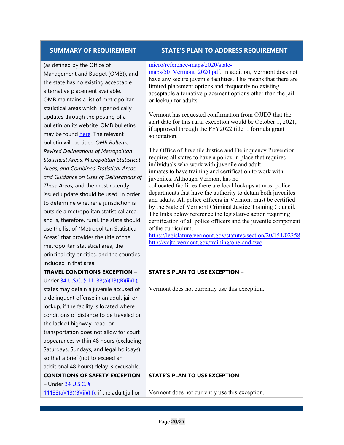#### **SUMMARY OF REQUIREMENT STATE'S PLAN TO ADDRESS REQUIREMENT**

| (as defined by the Office of |  |  |
|------------------------------|--|--|

Management and Budget (OMB)), and the state has no existing acceptable alternative placement available. OMB maintains a list of metropolitan statistical areas which it periodically updates through the posting of a bulletin on its website. OMB bulletins may be found [here.](https://www.whitehouse.gov/omb/information-for-agencies/bulletins/) The relevant bulletin will be titled *OMB Bulletin, Revised Delineations of Metropolitan Statistical Areas, Micropolitan Statistical Areas, and Combined Statistical Areas, and Guidance on Uses of Delineations of These Areas,* and the most recently issued update should be used. In order to determine whether a jurisdiction is outside a metropolitan statistical area, and is, therefore, rural, the state should use the list of "Metropolitan Statistical Areas" that provides the title of the metropolitan statistical area, the principal city or cities, and the counties included in that area. **TRAVEL CONDITIONS EXCEPTION** –

## Under [34 U.S.C. § 11133\(a\)\(13\)\(B\)\(ii\)\(II\)](https://ojjdp.ojp.gov/sites/g/files/xyckuh176/files/media/document/JJDPA-of-1974-as-Amended-12-21-18.pdf), states may detain a juvenile accused of

a delinquent offense in an adult jail or lockup, if the facility is located where conditions of distance to be traveled or the lack of highway, road, or transportation does not allow for court appearances within 48 hours (excluding Saturdays, Sundays, and legal holidays) so that a brief (not to exceed an additional 48 hours) delay is excusable.

## **CONDITIONS OF SAFETY EXCEPTION**

– Under [34 U.S.C. §](https://ojjdp.ojp.gov/sites/g/files/xyckuh176/files/media/document/JJDPA-of-1974-as-Amended-12-21-18.pdf) 

 $11133(a)(13)(B)(ii)(III)$ , if the adult jail or

#### [micro/reference-maps/2020/state-](https://www2.census.gov/programs-surveys/metro-micro/reference-maps/2020/state-maps/50_Vermont_2020.pdf)

maps/50 Vermont 2020.pdf. In addition, Vermont does not have any secure juvenile facilities. This means that there are limited placement options and frequently no existing acceptable alternative placement options other than the jail or lockup for adults.

Vermont has requested confirmation from OJJDP that the start date for this rural exception would be October 1, 2021, if approved through the FFY2022 title II formula grant solicitation.

The Office of Juvenile Justice and Delinquency Prevention requires all states to have a policy in place that requires individuals who work with juvenile and adult inmates to have training and certification to work with juveniles. Although Vermont has no collocated facilities there are local lockups at most police departments that have the authority to detain both juveniles and adults. All police officers in Vermont must be certified by the State of Vermont Criminal Justice Training Council. The links below reference the legislative action requiring certification of all police officers and the juvenile component of the curriculum.

<https://legislature.vermont.gov/statutes/section/20/151/02358> [http://vcjtc.vermont.gov/training/one-and-two.](http://vcjtc.vermont.gov/training/one-and-two)

#### **STATE'S PLAN TO USE EXCEPTION** –

Vermont does not currently use this exception.

#### **STATE'S PLAN TO USE EXCEPTION** –

Vermont does not currently use this exception.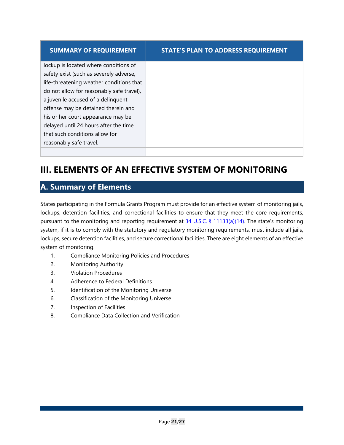| <b>SUMMARY OF REQUIREMENT</b>             | <b>STATE'S PLAN TO ADDRESS REQUIREMENT</b> |
|-------------------------------------------|--------------------------------------------|
| lockup is located where conditions of     |                                            |
| safety exist (such as severely adverse,   |                                            |
| life-threatening weather conditions that  |                                            |
| do not allow for reasonably safe travel), |                                            |
| a juvenile accused of a delinquent        |                                            |
| offense may be detained therein and       |                                            |
| his or her court appearance may be        |                                            |
| delayed until 24 hours after the time     |                                            |
| that such conditions allow for            |                                            |
| reasonably safe travel.                   |                                            |
|                                           |                                            |

# <span id="page-23-0"></span>**III. ELEMENTS OF AN EFFECTIVE SYSTEM OF MONITORING**

## <span id="page-23-1"></span>**A. Summary of Elements**

States participating in the Formula Grants Program must provide for an effective system of monitoring jails, lockups, detention facilities, and correctional facilities to ensure that they meet the core requirements, pursuant to the monitoring and reporting requirement at [34 U.S.C. § 11133\(a\)\(14\).](https://ojjdp.ojp.gov/sites/g/files/xyckuh176/files/media/document/JJDPA-of-1974-as-Amended-12-21-18.pdf) The state's monitoring system, if it is to comply with the statutory and regulatory monitoring requirements, must include all jails, lockups, secure detention facilities, and secure correctional facilities. There are eight elements of an effective system of monitoring.

- 1. Compliance Monitoring Policies and Procedures
- 2. Monitoring Authority
- 3. Violation Procedures
- 4. Adherence to Federal Definitions
- 5. Identification of the Monitoring Universe
- 6. Classification of the Monitoring Universe
- 7. Inspection of Facilities
- 8. Compliance Data Collection and Verification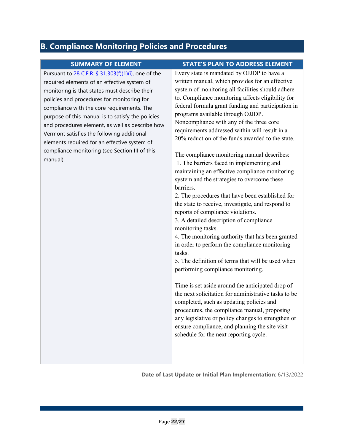# <span id="page-24-0"></span>**B. Compliance Monitoring Policies and Procedures**

| <b>SUMMARY OF ELEMENT</b>                                                                                                                                                                                                                                                                                                                                                                                                                                                                                                                                       | <b>STATE'S PLAN TO ADDRESS ELEMENT</b>                                                                                                                                                                                                                                                                                                                                                                                                                                                                                                                                                                                                                                                                                                                                                                                                                                                                                                                                                                                                                                                                                                                                                                                                                                                                                                                                                               |
|-----------------------------------------------------------------------------------------------------------------------------------------------------------------------------------------------------------------------------------------------------------------------------------------------------------------------------------------------------------------------------------------------------------------------------------------------------------------------------------------------------------------------------------------------------------------|------------------------------------------------------------------------------------------------------------------------------------------------------------------------------------------------------------------------------------------------------------------------------------------------------------------------------------------------------------------------------------------------------------------------------------------------------------------------------------------------------------------------------------------------------------------------------------------------------------------------------------------------------------------------------------------------------------------------------------------------------------------------------------------------------------------------------------------------------------------------------------------------------------------------------------------------------------------------------------------------------------------------------------------------------------------------------------------------------------------------------------------------------------------------------------------------------------------------------------------------------------------------------------------------------------------------------------------------------------------------------------------------------|
| Pursuant to 28 C.F.R. § 31.303(f)(1)(i), one of the<br>required elements of an effective system of<br>monitoring is that states must describe their<br>policies and procedures for monitoring for<br>compliance with the core requirements. The<br>purpose of this manual is to satisfy the policies<br>and procedures element, as well as describe how<br>Vermont satisfies the following additional<br>elements required for an effective system of<br>compliance monitoring (see Section III of this<br>manual).<br>barriers.<br>monitoring tasks.<br>tasks. | Every state is mandated by OJJDP to have a<br>written manual, which provides for an effective<br>system of monitoring all facilities should adhere<br>to. Compliance monitoring affects eligibility for<br>federal formula grant funding and participation in<br>programs available through OJJDP.<br>Noncompliance with any of the three core<br>requirements addressed within will result in a<br>20% reduction of the funds awarded to the state.<br>The compliance monitoring manual describes:<br>1. The barriers faced in implementing and<br>maintaining an effective compliance monitoring<br>system and the strategies to overcome these<br>2. The procedures that have been established for<br>the state to receive, investigate, and respond to<br>reports of compliance violations.<br>3. A detailed description of compliance<br>4. The monitoring authority that has been granted<br>in order to perform the compliance monitoring<br>5. The definition of terms that will be used when<br>performing compliance monitoring.<br>Time is set aside around the anticipated drop of<br>the next solicitation for administrative tasks to be<br>completed, such as updating policies and<br>procedures, the compliance manual, proposing<br>any legislative or policy changes to strengthen or<br>ensure compliance, and planning the site visit<br>schedule for the next reporting cycle. |

**Date of Last Update or Initial Plan Implementation**: 6/13/2022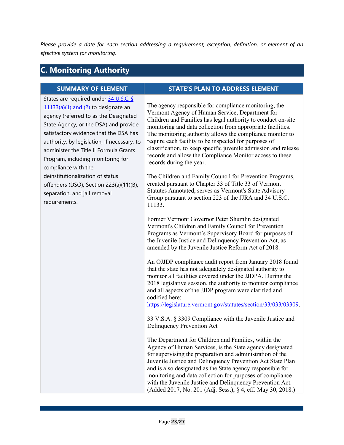*Please provide a date for each section addressing a requirement, exception, definition, or element of an effective system for monitoring.*

## <span id="page-25-0"></span>**C. Monitoring Authority**

States are required under 34 U.S.C. §  $11133(a)(1)$  and  $(2)$  to designate an agency (referred to as the Designated State Agency, or the DSA) and provide satisfactory evidence that the DSA has authority, by legislation, if necessary, to administer the Title II Formula Grants Program, including monitoring for compliance with the deinstitutionalization of status offenders (DSO), Section 223(a)(11)(B), separation, and jail removal requirements.

#### **SUMMARY OF ELEMENT STATE'S PLAN TO ADDRESS ELEMENT**

The agency responsible for compliance monitoring, the Vermont Agency of Human Service, Department for Children and Families has legal authority to conduct on-site monitoring and data collection from appropriate facilities. The monitoring authority allows the compliance monitor to require each facility to be inspected for purposes of classification, to keep specific juvenile admission and release records and allow the Compliance Monitor access to these records during the year.

The Children and Family Council for Prevention Programs, created pursuant to Chapter 33 of Title 33 of Vermont Statutes Annotated, serves as Vermont's State Advisory Group pursuant to section 223 of the JJRA and 34 U.S.C. 11133.

Former Vermont Governor Peter Shumlin designated Vermont's Children and Family Council for Prevention Programs as Vermont's Supervisory Board for purposes of the Juvenile Justice and Delinquency Prevention Act, as amended by the Juvenile Justice Reform Act of 2018.

An OJJDP compliance audit report from January 2018 found that the state has not adequately designated authority to monitor all facilities covered under the JJDPA. During the 2018 legislative session, the authority to monitor compliance and all aspects of the JJDP program were clarified and codified here:

[https://legislature.vermont.gov/statutes/section/33/033/03309.](https://legislature.vermont.gov/statutes/section/33/033/03309)

33 V.S.A. § 3309 Compliance with the Juvenile Justice and Delinquency Prevention Act

The Department for Children and Families, within the Agency of Human Services, is the State agency designated for supervising the preparation and administration of the Juvenile Justice and Delinquency Prevention Act State Plan and is also designated as the State agency responsible for monitoring and data collection for purposes of compliance with the Juvenile Justice and Delinquency Prevention Act. (Added 2017, No. 201 (Adj. Sess.), § 4, eff. May 30, 2018.)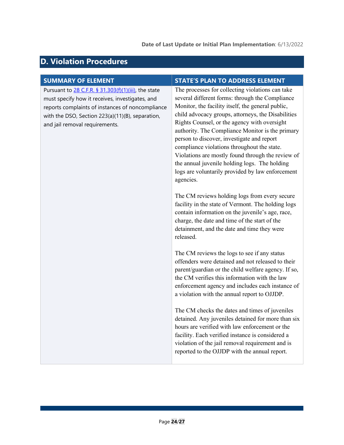### **Date of Last Update or Initial Plan Implementation**: 6/13/2022

# <span id="page-26-0"></span>**D. Violation Procedures**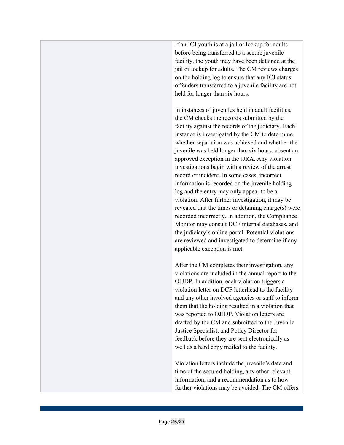If an ICJ youth is at a jail or lockup for adults before being transferred to a secure juvenile facility, the youth may have been detained at the jail or lockup for adults. The CM reviews charges on the holding log to ensure that any ICJ status offenders transferred to a juvenile facility are not held for longer than six hours.

In instances of juveniles held in adult facilities, the CM checks the records submitted by the facility against the records of the judiciary. Each instance is investigated by the CM to determine whether separation was achieved and whether the juvenile was held longer than six hours, absent an approved exception in the JJRA. Any violation investigations begin with a review of the arrest record or incident. In some cases, incorrect information is recorded on the juvenile holding log and the entry may only appear to be a violation. After further investigation, it may be revealed that the times or detaining charge(s) were recorded incorrectly. In addition, the Compliance Monitor may consult DCF internal databases, and the judiciary's online portal. Potential violations are reviewed and investigated to determine if any applicable exception is met.

After the CM completes their investigation, any violations are included in the annual report to the OJJDP. In addition, each violation triggers a violation letter on DCF letterhead to the facility and any other involved agencies or staff to inform them that the holding resulted in a violation that was reported to OJJDP. Violation letters are drafted by the CM and submitted to the Juvenile Justice Specialist, and Policy Director for feedback before they are sent electronically as well as a hard copy mailed to the facility.

Violation letters include the juvenile's date and time of the secured holding, any other relevant information, and a recommendation as to how further violations may be avoided. The CM offers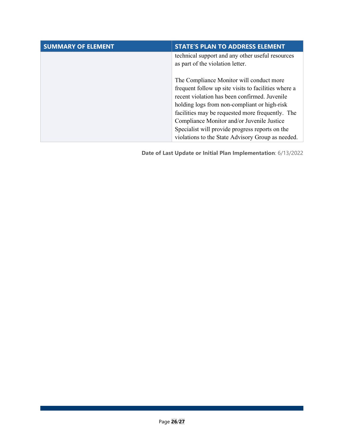| <b>SUMMARY OF ELEMENT</b> | <b>STATE'S PLAN TO ADDRESS ELEMENT</b>                                                                                                                                                                                                                                                                                                                                                                      |
|---------------------------|-------------------------------------------------------------------------------------------------------------------------------------------------------------------------------------------------------------------------------------------------------------------------------------------------------------------------------------------------------------------------------------------------------------|
|                           | technical support and any other useful resources<br>as part of the violation letter.                                                                                                                                                                                                                                                                                                                        |
|                           | The Compliance Monitor will conduct more<br>frequent follow up site visits to facilities where a<br>recent violation has been confirmed. Juvenile<br>holding logs from non-compliant or high-risk<br>facilities may be requested more frequently. The<br>Compliance Monitor and/or Juvenile Justice<br>Specialist will provide progress reports on the<br>violations to the State Advisory Group as needed. |

**Date of Last Update or Initial Plan Implementation**: 6/13/2022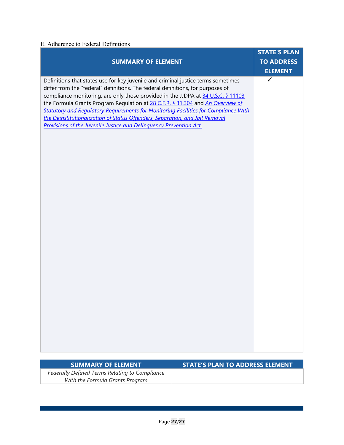### <span id="page-29-0"></span>E. Adherence to Federal Definitions

|                                                                                                                                                                                                                                                                                                                                                                                                                                                                                                                                                                                                | <b>STATE'S PLAN</b>            |
|------------------------------------------------------------------------------------------------------------------------------------------------------------------------------------------------------------------------------------------------------------------------------------------------------------------------------------------------------------------------------------------------------------------------------------------------------------------------------------------------------------------------------------------------------------------------------------------------|--------------------------------|
| <b>SUMMARY OF ELEMENT</b>                                                                                                                                                                                                                                                                                                                                                                                                                                                                                                                                                                      | <b>TO ADDRESS</b>              |
| Definitions that states use for key juvenile and criminal justice terms sometimes<br>differ from the "federal" definitions. The federal definitions, for purposes of<br>compliance monitoring, are only those provided in the JJDPA at 34 U.S.C. § 11103<br>the Formula Grants Program Regulation at 28 C.F.R. § 31.304 and An Overview of<br><b>Statutory and Regulatory Requirements for Monitoring Facilities for Compliance With</b><br>the Deinstitutionalization of Status Offenders, Separation, and Jail Removal<br>Provisions of the Juvenile Justice and Delinquency Prevention Act. | <b>ELEMENT</b><br>$\checkmark$ |
|                                                                                                                                                                                                                                                                                                                                                                                                                                                                                                                                                                                                |                                |

| <b>SUMMARY OF ELEMENT</b>                      |
|------------------------------------------------|
| Federally Defined Terms Relating to Compliance |
| With the Formula Grants Program                |

### **STATE'S PLAN TO ADDRESS ELEMENT**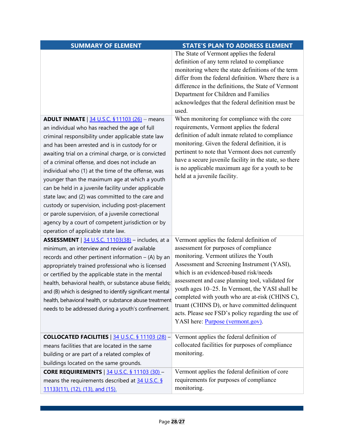| <b>SUMMARY OF ELEMENT</b>                                 | <b>STATE'S PLAN TO ADDRESS ELEMENT</b>                 |
|-----------------------------------------------------------|--------------------------------------------------------|
|                                                           | The State of Vermont applies the federal               |
|                                                           | definition of any term related to compliance           |
|                                                           | monitoring where the state definitions of the term     |
|                                                           | differ from the federal definition. Where there is a   |
|                                                           | difference in the definitions, the State of Vermont    |
|                                                           | Department for Children and Families                   |
|                                                           | acknowledges that the federal definition must be       |
|                                                           | used.                                                  |
| <b>ADULT INMATE</b>   34 U.S.C. § 11103 (26) - means      | When monitoring for compliance with the core           |
| an individual who has reached the age of full             | requirements, Vermont applies the federal              |
| criminal responsibility under applicable state law        | definition of adult inmate related to compliance       |
| and has been arrested and is in custody for or            | monitoring. Given the federal definition, it is        |
| awaiting trial on a criminal charge, or is convicted      | pertinent to note that Vermont does not currently      |
| of a criminal offense, and does not include an            | have a secure juvenile facility in the state, so there |
| individual who (1) at the time of the offense, was        | is no applicable maximum age for a youth to be         |
| younger than the maximum age at which a youth             | held at a juvenile facility.                           |
| can be held in a juvenile facility under applicable       |                                                        |
| state law; and (2) was committed to the care and          |                                                        |
| custody or supervision, including post-placement          |                                                        |
| or parole supervision, of a juvenile correctional         |                                                        |
| agency by a court of competent jurisdiction or by         |                                                        |
| operation of applicable state law.                        |                                                        |
| <b>ASSESSMENT</b>   34 U.S.C. 11103(38) - includes, at a  | Vermont applies the federal definition of              |
| minimum, an interview and review of available             | assessment for purposes of compliance                  |
| records and other pertinent information $-$ (A) by an     | monitoring. Vermont utilizes the Youth                 |
| appropriately trained professional who is licensed        | Assessment and Screening Instrument (YASI),            |
| or certified by the applicable state in the mental        | which is an evidenced-based risk/needs                 |
| health, behavioral health, or substance abuse fields;     | assessment and case planning tool, validated for       |
| and (B) which is designed to identify significant mental  | youth ages 10–25. In Vermont, the YASI shall be        |
| health, behavioral health, or substance abuse treatment   | completed with youth who are at-risk (CHINS C),        |
| needs to be addressed during a youth's confinement.       | truant (CHINS D), or have committed delinquent         |
|                                                           | acts. Please see FSD's policy regarding the use of     |
|                                                           | YASI here: <i>Purpose</i> (vermont.gov).               |
| <b>COLLOCATED FACILITIES</b>   $34$ U.S.C. § 11103 (28) - | Vermont applies the federal definition of              |
| means facilities that are located in the same             | collocated facilities for purposes of compliance       |
| building or are part of a related complex of              | monitoring.                                            |
|                                                           |                                                        |
| buildings located on the same grounds.                    |                                                        |
| <b>CORE REQUIREMENTS</b>   34 U.S.C. § 11103 (30) -       | Vermont applies the federal definition of core         |
| means the requirements described at 34 U.S.C. §           | requirements for purposes of compliance                |
| 11133(11), (12), (13), and (15).                          | monitoring.                                            |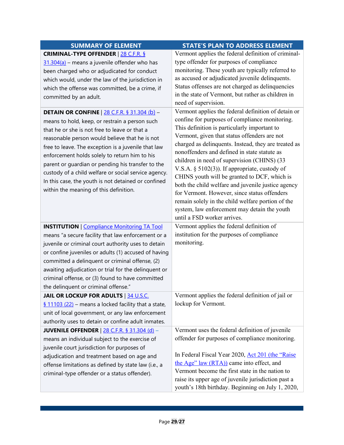| <b>SUMMARY OF ELEMENT</b>                                                                                                                                                                                                                                                                                                                                                                                                                                                                                                                                                                                                                                                                                                     | <b>STATE'S PLAN TO ADDRESS ELEMENT</b>                                                                                                                                                                                                                                                                                                                                                                                                                                                                                                                                                                                                                                                                                                                        |
|-------------------------------------------------------------------------------------------------------------------------------------------------------------------------------------------------------------------------------------------------------------------------------------------------------------------------------------------------------------------------------------------------------------------------------------------------------------------------------------------------------------------------------------------------------------------------------------------------------------------------------------------------------------------------------------------------------------------------------|---------------------------------------------------------------------------------------------------------------------------------------------------------------------------------------------------------------------------------------------------------------------------------------------------------------------------------------------------------------------------------------------------------------------------------------------------------------------------------------------------------------------------------------------------------------------------------------------------------------------------------------------------------------------------------------------------------------------------------------------------------------|
| <b>CRIMINAL-TYPE OFFENDER   28 C.F.R. §</b><br>31.304(a) - means a juvenile offender who has<br>been charged who or adjudicated for conduct<br>which would, under the law of the jurisdiction in<br>which the offense was committed, be a crime, if<br>committed by an adult.<br><b>DETAIN OR CONFINE</b> $\frac{28 \text{ C.F.R. }$ § 31.304 (b) –<br>means to hold, keep, or restrain a person such<br>that he or she is not free to leave or that a<br>reasonable person would believe that he is not<br>free to leave. The exception is a juvenile that law<br>enforcement holds solely to return him to his<br>parent or guardian or pending his transfer to the<br>custody of a child welfare or social service agency. | Vermont applies the federal definition of criminal-<br>type offender for purposes of compliance<br>monitoring. These youth are typically referred to<br>as accused or adjudicated juvenile delinquents.<br>Status offenses are not charged as delinquencies<br>in the state of Vermont, but rather as children in<br>need of supervision.<br>Vermont applies the federal definition of detain or<br>confine for purposes of compliance monitoring.<br>This definition is particularly important to<br>Vermont, given that status offenders are not<br>charged as delinquents. Instead, they are treated as<br>nonoffenders and defined in state statute as<br>children in need of supervision (CHINS) (33<br>V.S.A. § $5102(3)$ ). If appropriate, custody of |
| In this case, the youth is not detained or confined<br>within the meaning of this definition.                                                                                                                                                                                                                                                                                                                                                                                                                                                                                                                                                                                                                                 | CHINS youth will be granted to DCF, which is<br>both the child welfare and juvenile justice agency<br>for Vermont. However, since status offenders<br>remain solely in the child welfare portion of the<br>system, law enforcement may detain the youth<br>until a FSD worker arrives.                                                                                                                                                                                                                                                                                                                                                                                                                                                                        |
| <b>INSTITUTION</b>   Compliance Monitoring TA Tool                                                                                                                                                                                                                                                                                                                                                                                                                                                                                                                                                                                                                                                                            | Vermont applies the federal definition of                                                                                                                                                                                                                                                                                                                                                                                                                                                                                                                                                                                                                                                                                                                     |
| means "a secure facility that law enforcement or a                                                                                                                                                                                                                                                                                                                                                                                                                                                                                                                                                                                                                                                                            | institution for the purposes of compliance                                                                                                                                                                                                                                                                                                                                                                                                                                                                                                                                                                                                                                                                                                                    |
| juvenile or criminal court authority uses to detain                                                                                                                                                                                                                                                                                                                                                                                                                                                                                                                                                                                                                                                                           | monitoring.                                                                                                                                                                                                                                                                                                                                                                                                                                                                                                                                                                                                                                                                                                                                                   |
| or confine juveniles or adults (1) accused of having                                                                                                                                                                                                                                                                                                                                                                                                                                                                                                                                                                                                                                                                          |                                                                                                                                                                                                                                                                                                                                                                                                                                                                                                                                                                                                                                                                                                                                                               |
| committed a delinquent or criminal offense, (2)                                                                                                                                                                                                                                                                                                                                                                                                                                                                                                                                                                                                                                                                               |                                                                                                                                                                                                                                                                                                                                                                                                                                                                                                                                                                                                                                                                                                                                                               |
| awaiting adjudication or trial for the delinquent or                                                                                                                                                                                                                                                                                                                                                                                                                                                                                                                                                                                                                                                                          |                                                                                                                                                                                                                                                                                                                                                                                                                                                                                                                                                                                                                                                                                                                                                               |
| criminal offense, or (3) found to have committed                                                                                                                                                                                                                                                                                                                                                                                                                                                                                                                                                                                                                                                                              |                                                                                                                                                                                                                                                                                                                                                                                                                                                                                                                                                                                                                                                                                                                                                               |
| the delinquent or criminal offense."                                                                                                                                                                                                                                                                                                                                                                                                                                                                                                                                                                                                                                                                                          |                                                                                                                                                                                                                                                                                                                                                                                                                                                                                                                                                                                                                                                                                                                                                               |
| <b>JAIL OR LOCKUP FOR ADULTS   34 U.S.C.</b>                                                                                                                                                                                                                                                                                                                                                                                                                                                                                                                                                                                                                                                                                  | Vermont applies the federal definition of jail or                                                                                                                                                                                                                                                                                                                                                                                                                                                                                                                                                                                                                                                                                                             |
| $\underline{\S}$ 11103 (22) – means a locked facility that a state,                                                                                                                                                                                                                                                                                                                                                                                                                                                                                                                                                                                                                                                           | lockup for Vermont.                                                                                                                                                                                                                                                                                                                                                                                                                                                                                                                                                                                                                                                                                                                                           |
| unit of local government, or any law enforcement                                                                                                                                                                                                                                                                                                                                                                                                                                                                                                                                                                                                                                                                              |                                                                                                                                                                                                                                                                                                                                                                                                                                                                                                                                                                                                                                                                                                                                                               |
| authority uses to detain or confine adult inmates.                                                                                                                                                                                                                                                                                                                                                                                                                                                                                                                                                                                                                                                                            |                                                                                                                                                                                                                                                                                                                                                                                                                                                                                                                                                                                                                                                                                                                                                               |
| JUVENILE OFFENDER $\vert$ 28 C.F.R. § 31.304 (d) –<br>means an individual subject to the exercise of                                                                                                                                                                                                                                                                                                                                                                                                                                                                                                                                                                                                                          | Vermont uses the federal definition of juvenile<br>offender for purposes of compliance monitoring.                                                                                                                                                                                                                                                                                                                                                                                                                                                                                                                                                                                                                                                            |
| juvenile court jurisdiction for purposes of                                                                                                                                                                                                                                                                                                                                                                                                                                                                                                                                                                                                                                                                                   |                                                                                                                                                                                                                                                                                                                                                                                                                                                                                                                                                                                                                                                                                                                                                               |
| adjudication and treatment based on age and                                                                                                                                                                                                                                                                                                                                                                                                                                                                                                                                                                                                                                                                                   | In Federal Fiscal Year 2020, Act 201 (the "Raise                                                                                                                                                                                                                                                                                                                                                                                                                                                                                                                                                                                                                                                                                                              |
| offense limitations as defined by state law (i.e., a                                                                                                                                                                                                                                                                                                                                                                                                                                                                                                                                                                                                                                                                          | the Age" law (RTA)) came into effect, and                                                                                                                                                                                                                                                                                                                                                                                                                                                                                                                                                                                                                                                                                                                     |
| criminal-type offender or a status offender).                                                                                                                                                                                                                                                                                                                                                                                                                                                                                                                                                                                                                                                                                 | Vermont become the first state in the nation to                                                                                                                                                                                                                                                                                                                                                                                                                                                                                                                                                                                                                                                                                                               |
|                                                                                                                                                                                                                                                                                                                                                                                                                                                                                                                                                                                                                                                                                                                               | raise its upper age of juvenile jurisdiction past a<br>youth's 18th birthday. Beginning on July 1, 2020,                                                                                                                                                                                                                                                                                                                                                                                                                                                                                                                                                                                                                                                      |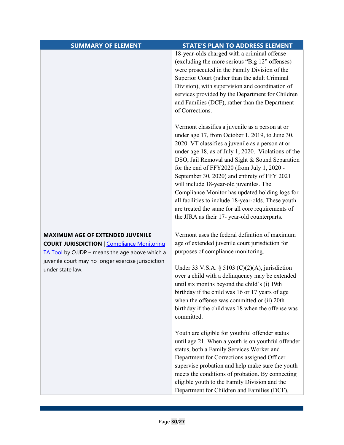| <b>SUMMARY OF ELEMENT</b>                                              | <b>STATE'S PLAN TO ADDRESS ELEMENT</b>                                                            |
|------------------------------------------------------------------------|---------------------------------------------------------------------------------------------------|
|                                                                        | 18-year-olds charged with a criminal offense                                                      |
|                                                                        | (excluding the more serious "Big 12" offenses)                                                    |
|                                                                        | were prosecuted in the Family Division of the                                                     |
|                                                                        | Superior Court (rather than the adult Criminal                                                    |
|                                                                        | Division), with supervision and coordination of                                                   |
|                                                                        | services provided by the Department for Children                                                  |
|                                                                        | and Families (DCF), rather than the Department                                                    |
|                                                                        | of Corrections.                                                                                   |
|                                                                        | Vermont classifies a juvenile as a person at or                                                   |
|                                                                        | under age 17, from October 1, 2019, to June 30,                                                   |
|                                                                        | 2020. VT classifies a juvenile as a person at or                                                  |
|                                                                        | under age 18, as of July 1, 2020. Violations of the                                               |
|                                                                        | DSO, Jail Removal and Sight & Sound Separation                                                    |
|                                                                        | for the end of FFY2020 (from July 1, 2020 -                                                       |
|                                                                        | September 30, 2020) and entirety of FFY 2021                                                      |
|                                                                        | will include 18-year-old juveniles. The                                                           |
|                                                                        | Compliance Monitor has updated holding logs for                                                   |
|                                                                        | all facilities to include 18-year-olds. These youth                                               |
|                                                                        | are treated the same for all core requirements of                                                 |
|                                                                        | the JJRA as their 17- year-old counterparts.                                                      |
|                                                                        |                                                                                                   |
| <b>MAXIMUM AGE OF EXTENDED JUVENILE</b>                                | Vermont uses the federal definition of maximum                                                    |
| <b>COURT JURISDICTION   Compliance Monitoring</b>                      | age of extended juvenile court jurisdiction for                                                   |
| TA Tool by OJJDP - means the age above which a                         | purposes of compliance monitoring.                                                                |
| juvenile court may no longer exercise jurisdiction<br>under state law. | Under 33 V.S.A. § 5103 (C)(2)(A), jurisdiction                                                    |
|                                                                        | over a child with a delinquency may be extended                                                   |
|                                                                        | until six months beyond the child's (i) 19th                                                      |
|                                                                        | birthday if the child was 16 or 17 years of age                                                   |
|                                                                        | when the offense was committed or (ii) 20th                                                       |
|                                                                        | birthday if the child was 18 when the offense was                                                 |
|                                                                        | committed.                                                                                        |
|                                                                        |                                                                                                   |
|                                                                        | Youth are eligible for youthful offender status                                                   |
|                                                                        | until age 21. When a youth is on youthful offender                                                |
|                                                                        | status, both a Family Services Worker and                                                         |
|                                                                        | Department for Corrections assigned Officer                                                       |
|                                                                        | supervise probation and help make sure the youth                                                  |
|                                                                        | meets the conditions of probation. By connecting<br>eligible youth to the Family Division and the |
|                                                                        | Department for Children and Families (DCF),                                                       |
|                                                                        |                                                                                                   |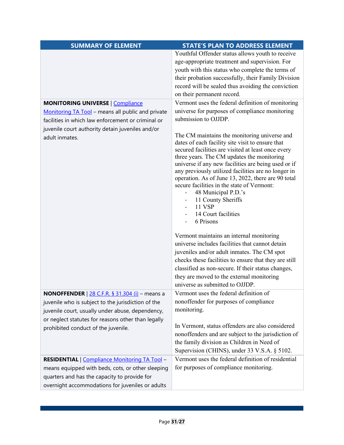| <b>SUMMARY OF ELEMENT</b>                                                   | <b>STATE'S PLAN TO ADDRESS ELEMENT</b>                                                                 |
|-----------------------------------------------------------------------------|--------------------------------------------------------------------------------------------------------|
|                                                                             | Youthful Offender status allows youth to receive                                                       |
|                                                                             | age-appropriate treatment and supervision. For                                                         |
|                                                                             | youth with this status who complete the terms of                                                       |
|                                                                             | their probation successfully, their Family Division                                                    |
|                                                                             | record will be sealed thus avoiding the conviction                                                     |
|                                                                             | on their permanent record.                                                                             |
| <b>MONITORING UNIVERSE   Compliance</b>                                     | Vermont uses the federal definition of monitoring                                                      |
| Monitoring TA Tool - means all public and private                           | universe for purposes of compliance monitoring                                                         |
| facilities in which law enforcement or criminal or                          | submission to OJJDP.                                                                                   |
| juvenile court authority detain juveniles and/or                            |                                                                                                        |
| adult inmates.                                                              | The CM maintains the monitoring universe and                                                           |
|                                                                             | dates of each facility site visit to ensure that<br>secured facilities are visited at least once every |
|                                                                             | three years. The CM updates the monitoring                                                             |
|                                                                             | universe if any new facilities are being used or if                                                    |
|                                                                             | any previously utilized facilities are no longer in                                                    |
|                                                                             | operation. As of June 13, 2022, there are 90 total                                                     |
|                                                                             | secure facilities in the state of Vermont:<br>48 Municipal P.D.'s                                      |
|                                                                             | 11 County Sheriffs                                                                                     |
|                                                                             | <b>11 VSP</b>                                                                                          |
|                                                                             | 14 Court facilities                                                                                    |
|                                                                             | 6 Prisons                                                                                              |
|                                                                             | Vermont maintains an internal monitoring                                                               |
|                                                                             | universe includes facilities that cannot detain                                                        |
|                                                                             | juveniles and/or adult inmates. The CM spot                                                            |
|                                                                             | checks these facilities to ensure that they are still                                                  |
|                                                                             | classified as non-secure. If their status changes,                                                     |
|                                                                             | they are moved to the external monitoring                                                              |
|                                                                             | universe as submitted to OJJDP.                                                                        |
| <b>NONOFFENDER</b> $\left  \frac{28 \text{ C.F.R. }$ § 31.304 (i) - means a | Vermont uses the federal definition of                                                                 |
| juvenile who is subject to the jurisdiction of the                          | nonoffender for purposes of compliance                                                                 |
| juvenile court, usually under abuse, dependency,                            | monitoring.                                                                                            |
| or neglect statutes for reasons other than legally                          |                                                                                                        |
| prohibited conduct of the juvenile.                                         | In Vermont, status offenders are also considered                                                       |
|                                                                             | nonoffenders and are subject to the jurisdiction of                                                    |
|                                                                             | the family division as Children in Need of                                                             |
|                                                                             | Supervision (CHINS), under 33 V.S.A. § 5102.                                                           |
| RESIDENTIAL   Compliance Monitoring TA Tool -                               | Vermont uses the federal definition of residential                                                     |
| means equipped with beds, cots, or other sleeping                           | for purposes of compliance monitoring.                                                                 |
| quarters and has the capacity to provide for                                |                                                                                                        |
| overnight accommodations for juveniles or adults                            |                                                                                                        |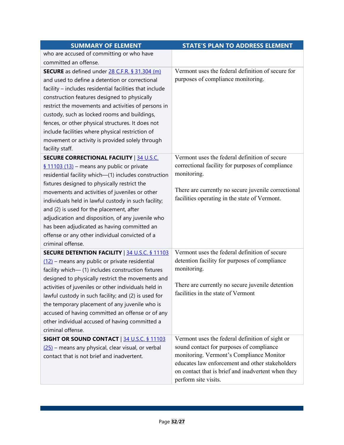| <b>SUMMARY OF ELEMENT</b>                               | <b>STATE'S PLAN TO ADDRESS ELEMENT</b>              |
|---------------------------------------------------------|-----------------------------------------------------|
| who are accused of committing or who have               |                                                     |
| committed an offense.                                   |                                                     |
| <b>SECURE</b> as defined under 28 C.F.R. § 31.304 (m)   | Vermont uses the federal definition of secure for   |
| and used to define a detention or correctional          | purposes of compliance monitoring.                  |
| facility - includes residential facilities that include |                                                     |
| construction features designed to physically            |                                                     |
| restrict the movements and activities of persons in     |                                                     |
| custody, such as locked rooms and buildings,            |                                                     |
| fences, or other physical structures. It does not       |                                                     |
| include facilities where physical restriction of        |                                                     |
| movement or activity is provided solely through         |                                                     |
| facility staff.                                         |                                                     |
| <b>SECURE CORRECTIONAL FACILITY   34 U.S.C.</b>         | Vermont uses the federal definition of secure       |
| $\frac{6}{9}$ 11103 (13) – means any public or private  | correctional facility for purposes of compliance    |
| residential facility which-(1) includes construction    | monitoring.                                         |
| fixtures designed to physically restrict the            |                                                     |
| movements and activities of juveniles or other          | There are currently no secure juvenile correctional |
| individuals held in lawful custody in such facility;    | facilities operating in the state of Vermont.       |
| and (2) is used for the placement, after                |                                                     |
| adjudication and disposition, of any juvenile who       |                                                     |
| has been adjudicated as having committed an             |                                                     |
| offense or any other individual convicted of a          |                                                     |
| criminal offense.                                       |                                                     |
| <b>SECURE DETENTION FACILITY   34 U.S.C. § 11103</b>    | Vermont uses the federal definition of secure       |
| $(12)$ – means any public or private residential        | detention facility for purposes of compliance       |
| facility which-(1) includes construction fixtures       | monitoring.                                         |
| designed to physically restrict the movements and       |                                                     |
| activities of juveniles or other individuals held in    | There are currently no secure juvenile detention    |
| lawful custody in such facility; and (2) is used for    | facilities in the state of Vermont                  |
| the temporary placement of any juvenile who is          |                                                     |
| accused of having committed an offense or of any        |                                                     |
| other individual accused of having committed a          |                                                     |
| criminal offense.                                       |                                                     |
| <b>SIGHT OR SOUND CONTACT   34 U.S.C. § 11103</b>       | Vermont uses the federal definition of sight or     |
| (25) – means any physical, clear visual, or verbal      | sound contact for purposes of compliance            |
| contact that is not brief and inadvertent.              | monitoring. Vermont's Compliance Monitor            |
|                                                         | educates law enforcement and other stakeholders     |
|                                                         | on contact that is brief and inadvertent when they  |
|                                                         | perform site visits.                                |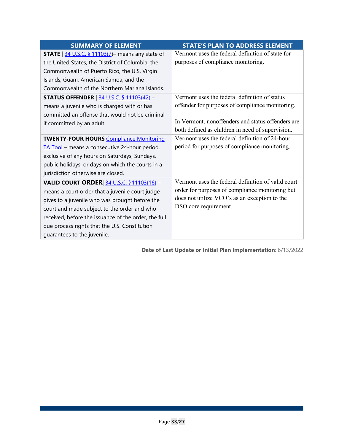| <b>SUMMARY OF ELEMENT</b>                                  | <b>STATE'S PLAN TO ADDRESS ELEMENT</b>             |
|------------------------------------------------------------|----------------------------------------------------|
| <b>STATE</b>   $34$ U.S.C. § 11103(7) – means any state of | Vermont uses the federal definition of state for   |
| the United States, the District of Columbia, the           | purposes of compliance monitoring.                 |
| Commonwealth of Puerto Rico, the U.S. Virgin               |                                                    |
| Islands, Guam, American Samoa, and the                     |                                                    |
| Commonwealth of the Northern Mariana Islands.              |                                                    |
| <b>STATUS OFFENDER</b>   34 U.S.C. § 11103(42) -           | Vermont uses the federal definition of status      |
| means a juvenile who is charged with or has                | offender for purposes of compliance monitoring.    |
| committed an offense that would not be criminal            |                                                    |
| if committed by an adult.                                  | In Vermont, nonoffenders and status offenders are  |
|                                                            | both defined as children in need of supervision.   |
| <b>TWENTY-FOUR HOURS Compliance Monitoring</b>             | Vermont uses the federal definition of 24-hour     |
| TA Tool - means a consecutive 24-hour period,              | period for purposes of compliance monitoring.      |
| exclusive of any hours on Saturdays, Sundays,              |                                                    |
| public holidays, or days on which the courts in a          |                                                    |
| jurisdiction otherwise are closed.                         |                                                    |
| VALID COURT ORDER 34 U.S.C. § 11103(16) -                  | Vermont uses the federal definition of valid court |
| means a court order that a juvenile court judge            | order for purposes of compliance monitoring but    |
| gives to a juvenile who was brought before the             | does not utilize VCO's as an exception to the      |
| court and made subject to the order and who                | DSO core requirement.                              |
| received, before the issuance of the order, the full       |                                                    |
| due process rights that the U.S. Constitution              |                                                    |
| guarantees to the juvenile.                                |                                                    |

**Date of Last Update or Initial Plan Implementation**: 6/13/2022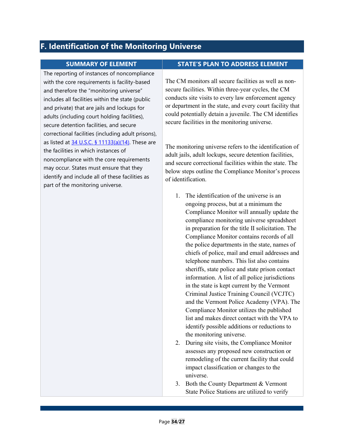## <span id="page-36-0"></span>**F. Identification of the Monitoring Universe**

The reporting of instances of noncompliance with the core requirements is facility-based and therefore the "monitoring universe" includes all facilities within the state (public and private) that are jails and lockups for adults (including court holding facilities), secure detention facilities, and secure correctional facilities (including adult prisons), as listed at  $34$  U.S.C. § 11133(a)(14). These are the facilities in which instances of noncompliance with the core requirements may occur. States must ensure that they identify and include all of these facilities as part of the monitoring universe.

#### **SUMMARY OF ELEMENT STATE'S PLAN TO ADDRESS ELEMENT**

The CM monitors all secure facilities as well as nonsecure facilities. Within three-year cycles, the CM conducts site visits to every law enforcement agency or department in the state, and every court facility that could potentially detain a juvenile. The CM identifies secure facilities in the monitoring universe.

The monitoring universe refers to the identification of adult jails, adult lockups, secure detention facilities, and secure correctional facilities within the state. The below steps outline the Compliance Monitor's process of identification.

- 1. The identification of the universe is an ongoing process, but at a minimum the Compliance Monitor will annually update the compliance monitoring universe spreadsheet in preparation for the title II solicitation. The Compliance Monitor contains records of all the police departments in the state, names of chiefs of police, mail and email addresses and telephone numbers. This list also contains sheriffs, state police and state prison contact information. A list of all police jurisdictions in the state is kept current by the Vermont Criminal Justice Training Council (VCJTC) and the Vermont Police Academy (VPA). The Compliance Monitor utilizes the published list and makes direct contact with the VPA to identify possible additions or reductions to the monitoring universe.
- 2. During site visits, the Compliance Monitor assesses any proposed new construction or remodeling of the current facility that could impact classification or changes to the universe.
- 3. Both the County Department & Vermont State Police Stations are utilized to verify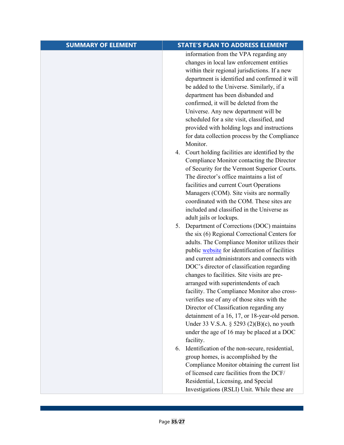| <b>SUMMARY OF ELEMENT</b> | <b>STATE'S PLAN TO ADDRESS ELEMENT</b>                                                          |
|---------------------------|-------------------------------------------------------------------------------------------------|
|                           | information from the VPA regarding any<br>changes in local law enforcement entities             |
|                           | within their regional jurisdictions. If a new<br>department is identified and confirmed it will |
|                           | be added to the Universe. Similarly, if a                                                       |
|                           | department has been disbanded and                                                               |
|                           | confirmed, it will be deleted from the                                                          |
|                           | Universe. Any new department will be                                                            |
|                           | scheduled for a site visit, classified, and                                                     |
|                           | provided with holding logs and instructions                                                     |
|                           | for data collection process by the Compliance<br>Monitor.                                       |
|                           | Court holding facilities are identified by the<br>4.                                            |
|                           | Compliance Monitor contacting the Director                                                      |
|                           | of Security for the Vermont Superior Courts.                                                    |
|                           | The director's office maintains a list of                                                       |
|                           | facilities and current Court Operations                                                         |
|                           | Managers (COM). Site visits are normally<br>coordinated with the COM. These sites are           |
|                           | included and classified in the Universe as                                                      |
|                           | adult jails or lockups.                                                                         |
|                           | 5. Department of Corrections (DOC) maintains                                                    |
|                           | the six (6) Regional Correctional Centers for                                                   |
|                           | adults. The Compliance Monitor utilizes their                                                   |
|                           | public website for identification of facilities<br>and current administrators and connects with |
|                           | DOC's director of classification regarding                                                      |
|                           | changes to facilities. Site visits are pre-                                                     |
|                           | arranged with superintendents of each                                                           |
|                           | facility. The Compliance Monitor also cross-                                                    |
|                           | verifies use of any of those sites with the                                                     |
|                           | Director of Classification regarding any                                                        |
|                           | detainment of a 16, 17, or 18-year-old person.<br>Under 33 V.S.A. § 5293 (2)(B)(c), no youth    |
|                           | under the age of 16 may be placed at a DOC                                                      |
|                           | facility.                                                                                       |
|                           | Identification of the non-secure, residential,<br>6.                                            |
|                           | group homes, is accomplished by the                                                             |
|                           | Compliance Monitor obtaining the current list                                                   |
|                           | of licensed care facilities from the DCF/                                                       |
|                           | Residential, Licensing, and Special                                                             |
|                           | Investigations (RSLI) Unit. While these are                                                     |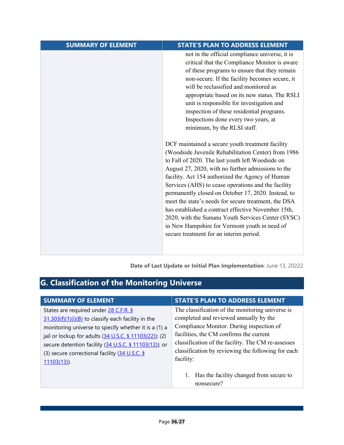| <b>SUMMARY OF ELEMENT</b> | <b>STATE'S PLAN TO ADDRESS ELEMENT</b>                                                                                                                                                                                                                                                                                                                                                                                                                                                                                                                                                                                                                                                                                                                                                                                                                                                                                                                                                                                                                                                                               |
|---------------------------|----------------------------------------------------------------------------------------------------------------------------------------------------------------------------------------------------------------------------------------------------------------------------------------------------------------------------------------------------------------------------------------------------------------------------------------------------------------------------------------------------------------------------------------------------------------------------------------------------------------------------------------------------------------------------------------------------------------------------------------------------------------------------------------------------------------------------------------------------------------------------------------------------------------------------------------------------------------------------------------------------------------------------------------------------------------------------------------------------------------------|
|                           | not in the official compliance universe, it is<br>critical that the Compliance Monitor is aware<br>of these programs to ensure that they remain<br>non-secure. If the facility becomes secure, it<br>will be reclassified and monitored as<br>appropriate based on its new status. The RSLI<br>unit is responsible for investigation and<br>inspection of these residential programs.<br>Inspections done every two years, at<br>minimum, by the RLSI staff.<br>DCF maintained a secure youth treatment facility<br>(Woodside Juvenile Rehabilitation Center) from 1986<br>to Fall of 2020. The last youth left Woodside on<br>August 27, 2020, with no further admissions to the<br>facility. Act 154 authorized the Agency of Human<br>Services (AHS) to cease operations and the facility<br>permanently closed on October 17, 2020. Instead, to<br>meet the state's needs for secure treatment, the DSA<br>has established a contract effective November 15th,<br>2020, with the Sununu Youth Services Center (SYSC)<br>in New Hampshire for Vermont youth in need of<br>secure treatment for an interim period. |

**Date of Last Update or Initial Plan Implementation**: June 13, 20222

# <span id="page-38-0"></span>**G. Classification of the Monitoring Universe**

| <b>SUMMARY OF ELEMENT</b>                                                                                                                                                                                                                                                                                                                   | <b>STATE'S PLAN TO ADDRESS ELEMENT</b>                                                                                                                                                                                                                                                                     |
|---------------------------------------------------------------------------------------------------------------------------------------------------------------------------------------------------------------------------------------------------------------------------------------------------------------------------------------------|------------------------------------------------------------------------------------------------------------------------------------------------------------------------------------------------------------------------------------------------------------------------------------------------------------|
| States are required under 28 C.F.R. §<br>$31.303(f)(1)(i)(B)$ to classify each facility in the<br>monitoring universe to specify whether it is a (1) a<br>jail or lockup for adults (34 U.S.C. § 11103(22)); (2)<br>secure detention facility (34 U.S.C. § 11103(12)); or<br>(3) secure correctional facility (34 U.S.C. §<br>$11103(13)$ . | The classification of the monitoring universe is<br>completed and reviewed annually by the<br>Compliance Monitor. During inspection of<br>facilities, the CM confirms the current<br>classification of the facility. The CM re-assesses<br>classification by reviewing the following for each<br>facility: |
|                                                                                                                                                                                                                                                                                                                                             | 1. Has the facility changed from secure to<br>nonsecure?                                                                                                                                                                                                                                                   |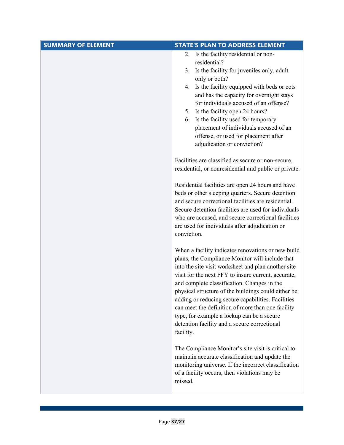| <b>SUMMARY OF ELEMENT</b> | <b>STATE'S PLAN TO ADDRESS ELEMENT</b>                                                                                                                                                                                                                                                                                                                                                                                                                                                                                                          |
|---------------------------|-------------------------------------------------------------------------------------------------------------------------------------------------------------------------------------------------------------------------------------------------------------------------------------------------------------------------------------------------------------------------------------------------------------------------------------------------------------------------------------------------------------------------------------------------|
|                           | Is the facility residential or non-<br>2.<br>residential?<br>Is the facility for juveniles only, adult<br>3.<br>only or both?<br>Is the facility equipped with beds or cots<br>4.<br>and has the capacity for overnight stays<br>for individuals accused of an offense?<br>5. Is the facility open 24 hours?<br>Is the facility used for temporary<br>6.<br>placement of individuals accused of an<br>offense, or used for placement after<br>adjudication or conviction?                                                                       |
|                           | Facilities are classified as secure or non-secure,<br>residential, or nonresidential and public or private.                                                                                                                                                                                                                                                                                                                                                                                                                                     |
|                           | Residential facilities are open 24 hours and have<br>beds or other sleeping quarters. Secure detention<br>and secure correctional facilities are residential.<br>Secure detention facilities are used for individuals<br>who are accused, and secure correctional facilities<br>are used for individuals after adjudication or<br>conviction.                                                                                                                                                                                                   |
|                           | When a facility indicates renovations or new build<br>plans, the Compliance Monitor will include that<br>into the site visit worksheet and plan another site<br>visit for the next FFY to insure current, accurate,<br>and complete classification. Changes in the<br>physical structure of the buildings could either be<br>adding or reducing secure capabilities. Facilities<br>can meet the definition of more than one facility<br>type, for example a lockup can be a secure<br>detention facility and a secure correctional<br>facility. |
|                           | The Compliance Monitor's site visit is critical to<br>maintain accurate classification and update the<br>monitoring universe. If the incorrect classification<br>of a facility occurs, then violations may be<br>missed.                                                                                                                                                                                                                                                                                                                        |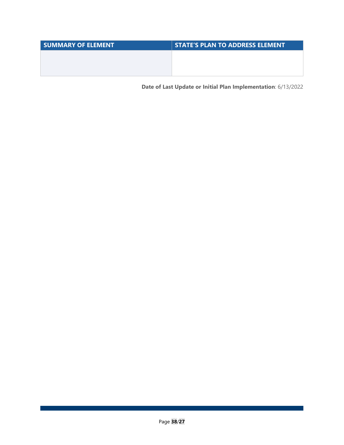| <b>SUMMARY OF ELEMENT</b> | <b>STATE'S PLAN TO ADDRESS ELEMENT</b> |
|---------------------------|----------------------------------------|
|                           |                                        |
|                           |                                        |
|                           |                                        |

**Date of Last Update or Initial Plan Implementation**: 6/13/2022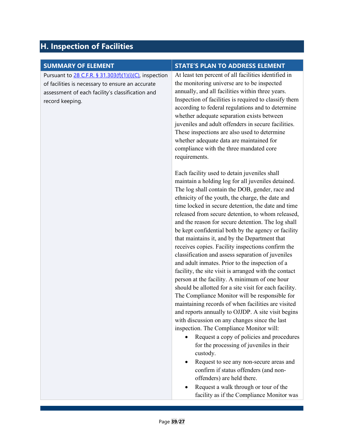# <span id="page-41-0"></span>**H. Inspection of Facilities**

| <b>SUMMARY OF ELEMENT</b>                                                                                  | <b>STATE'S PLAN TO ADDRESS ELEMENT</b>                                                                                                                                                                                                                                                                                                                                                                                                                                                                                                                                                                                                                                                                                                                                                                                                                                                                                                                                                                                                                                                                                      |
|------------------------------------------------------------------------------------------------------------|-----------------------------------------------------------------------------------------------------------------------------------------------------------------------------------------------------------------------------------------------------------------------------------------------------------------------------------------------------------------------------------------------------------------------------------------------------------------------------------------------------------------------------------------------------------------------------------------------------------------------------------------------------------------------------------------------------------------------------------------------------------------------------------------------------------------------------------------------------------------------------------------------------------------------------------------------------------------------------------------------------------------------------------------------------------------------------------------------------------------------------|
|                                                                                                            | At least ten percent of all facilities identified in                                                                                                                                                                                                                                                                                                                                                                                                                                                                                                                                                                                                                                                                                                                                                                                                                                                                                                                                                                                                                                                                        |
| Pursuant to 28 C.F.R. § 31.303(f)(1)(i)(C), inspection<br>of facilities is necessary to ensure an accurate | the monitoring universe are to be inspected                                                                                                                                                                                                                                                                                                                                                                                                                                                                                                                                                                                                                                                                                                                                                                                                                                                                                                                                                                                                                                                                                 |
| assessment of each facility's classification and<br>record keeping.                                        | annually, and all facilities within three years.<br>Inspection of facilities is required to classify them<br>according to federal regulations and to determine<br>whether adequate separation exists between<br>juveniles and adult offenders in secure facilities.<br>These inspections are also used to determine<br>whether adequate data are maintained for<br>compliance with the three mandated core<br>requirements.                                                                                                                                                                                                                                                                                                                                                                                                                                                                                                                                                                                                                                                                                                 |
|                                                                                                            | Each facility used to detain juveniles shall<br>maintain a holding log for all juveniles detained.<br>The log shall contain the DOB, gender, race and<br>ethnicity of the youth, the charge, the date and<br>time locked in secure detention, the date and time<br>released from secure detention, to whom released,<br>and the reason for secure detention. The log shall<br>be kept confidential both by the agency or facility<br>that maintains it, and by the Department that<br>receives copies. Facility inspections confirm the<br>classification and assess separation of juveniles<br>and adult inmates. Prior to the inspection of a<br>facility, the site visit is arranged with the contact<br>person at the facility. A minimum of one hour<br>should be allotted for a site visit for each facility.<br>The Compliance Monitor will be responsible for<br>maintaining records of when facilities are visited<br>and reports annually to OJJDP. A site visit begins<br>with discussion on any changes since the last<br>inspection. The Compliance Monitor will:<br>Request a copy of policies and procedures |
|                                                                                                            | for the processing of juveniles in their<br>custody.                                                                                                                                                                                                                                                                                                                                                                                                                                                                                                                                                                                                                                                                                                                                                                                                                                                                                                                                                                                                                                                                        |
|                                                                                                            | Request to see any non-secure areas and<br>confirm if status offenders (and non-<br>offenders) are held there.                                                                                                                                                                                                                                                                                                                                                                                                                                                                                                                                                                                                                                                                                                                                                                                                                                                                                                                                                                                                              |
|                                                                                                            | Request a walk through or tour of the<br>facility as if the Compliance Monitor was                                                                                                                                                                                                                                                                                                                                                                                                                                                                                                                                                                                                                                                                                                                                                                                                                                                                                                                                                                                                                                          |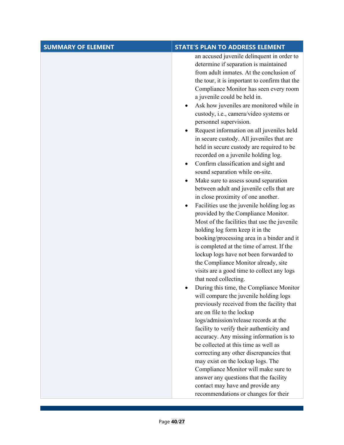| <b>SUMMARY OF ELEMENT</b> | <b>STATE'S PLAN TO ADDRESS ELEMENT</b>                                                                                                                                                                                                                                                                                                                                                                                                                                                                                                                                                                                                                                                                                                                                                                                                                                                                                                                                                                                                                                                                                                                                                                                                                                                                                                                                                                                                                                                                                                             |
|---------------------------|----------------------------------------------------------------------------------------------------------------------------------------------------------------------------------------------------------------------------------------------------------------------------------------------------------------------------------------------------------------------------------------------------------------------------------------------------------------------------------------------------------------------------------------------------------------------------------------------------------------------------------------------------------------------------------------------------------------------------------------------------------------------------------------------------------------------------------------------------------------------------------------------------------------------------------------------------------------------------------------------------------------------------------------------------------------------------------------------------------------------------------------------------------------------------------------------------------------------------------------------------------------------------------------------------------------------------------------------------------------------------------------------------------------------------------------------------------------------------------------------------------------------------------------------------|
|                           | an accused juvenile delinquent in order to<br>determine if separation is maintained<br>from adult inmates. At the conclusion of<br>the tour, it is important to confirm that the<br>Compliance Monitor has seen every room<br>a juvenile could be held in.<br>Ask how juveniles are monitored while in<br>custody, i.e., camera/video systems or<br>personnel supervision.<br>Request information on all juveniles held<br>in secure custody. All juveniles that are<br>held in secure custody are required to be<br>recorded on a juvenile holding log.<br>Confirm classification and sight and<br>$\bullet$<br>sound separation while on-site.<br>Make sure to assess sound separation<br>between adult and juvenile cells that are<br>in close proximity of one another.<br>Facilities use the juvenile holding log as<br>provided by the Compliance Monitor.<br>Most of the facilities that use the juvenile<br>holding log form keep it in the<br>booking/processing area in a binder and it<br>is completed at the time of arrest. If the<br>lockup logs have not been forwarded to<br>the Compliance Monitor already, site<br>visits are a good time to collect any logs<br>that need collecting.<br>During this time, the Compliance Monitor<br>will compare the juvenile holding logs<br>previously received from the facility that<br>are on file to the lockup<br>logs/admission/release records at the<br>facility to verify their authenticity and<br>accuracy. Any missing information is to<br>be collected at this time as well as |
|                           | correcting any other discrepancies that<br>may exist on the lockup logs. The<br>Compliance Monitor will make sure to                                                                                                                                                                                                                                                                                                                                                                                                                                                                                                                                                                                                                                                                                                                                                                                                                                                                                                                                                                                                                                                                                                                                                                                                                                                                                                                                                                                                                               |
|                           | answer any questions that the facility<br>contact may have and provide any<br>recommendations or changes for their                                                                                                                                                                                                                                                                                                                                                                                                                                                                                                                                                                                                                                                                                                                                                                                                                                                                                                                                                                                                                                                                                                                                                                                                                                                                                                                                                                                                                                 |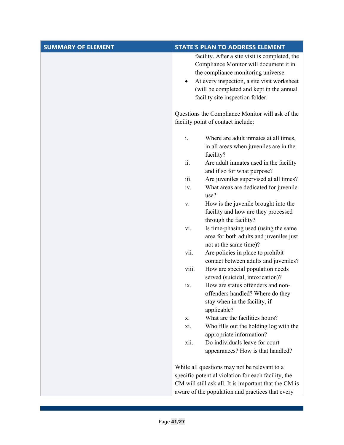| facility. After a site visit is completed, the<br>Compliance Monitor will document it in<br>the compliance monitoring universe.<br>At every inspection, a site visit worksheet<br>(will be completed and kept in the annual<br>facility site inspection folder.<br>Questions the Compliance Monitor will ask of the<br>facility point of contact include:<br>$\mathbf{i}$ .<br>Where are adult inmates at all times,<br>in all areas when juveniles are in the<br>facility? |
|-----------------------------------------------------------------------------------------------------------------------------------------------------------------------------------------------------------------------------------------------------------------------------------------------------------------------------------------------------------------------------------------------------------------------------------------------------------------------------|
|                                                                                                                                                                                                                                                                                                                                                                                                                                                                             |
|                                                                                                                                                                                                                                                                                                                                                                                                                                                                             |
|                                                                                                                                                                                                                                                                                                                                                                                                                                                                             |
|                                                                                                                                                                                                                                                                                                                                                                                                                                                                             |
| ii.<br>Are adult inmates used in the facility<br>and if so for what purpose?                                                                                                                                                                                                                                                                                                                                                                                                |
| iii.<br>Are juveniles supervised at all times?                                                                                                                                                                                                                                                                                                                                                                                                                              |
| What areas are dedicated for juvenile<br>iv.<br>use?                                                                                                                                                                                                                                                                                                                                                                                                                        |
| How is the juvenile brought into the<br>V.<br>facility and how are they processed<br>through the facility?                                                                                                                                                                                                                                                                                                                                                                  |
| Is time-phasing used (using the same<br>vi.<br>area for both adults and juveniles just<br>not at the same time)?                                                                                                                                                                                                                                                                                                                                                            |
| Are policies in place to prohibit<br>vii.<br>contact between adults and juveniles?                                                                                                                                                                                                                                                                                                                                                                                          |
| viii.<br>How are special population needs<br>served (suicidal, intoxication)?                                                                                                                                                                                                                                                                                                                                                                                               |
| How are status offenders and non-<br>ix.<br>offenders handled? Where do they<br>stay when in the facility, if<br>applicable?                                                                                                                                                                                                                                                                                                                                                |
| What are the facilities hours?<br>х.                                                                                                                                                                                                                                                                                                                                                                                                                                        |
| Who fills out the holding log with the<br>xi.                                                                                                                                                                                                                                                                                                                                                                                                                               |
| appropriate information?                                                                                                                                                                                                                                                                                                                                                                                                                                                    |
| Do individuals leave for court<br>xii.<br>appearances? How is that handled?                                                                                                                                                                                                                                                                                                                                                                                                 |
| While all questions may not be relevant to a                                                                                                                                                                                                                                                                                                                                                                                                                                |
| specific potential violation for each facility, the                                                                                                                                                                                                                                                                                                                                                                                                                         |
| CM will still ask all. It is important that the CM is<br>aware of the population and practices that every                                                                                                                                                                                                                                                                                                                                                                   |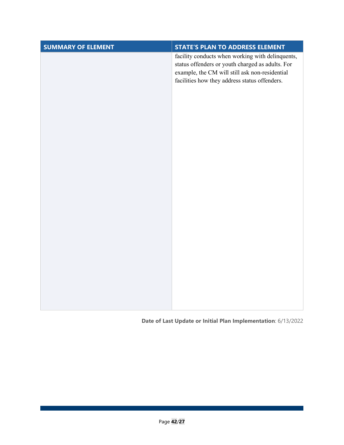| <b>SUMMARY OF ELEMENT</b> | <b>STATE'S PLAN TO ADDRESS ELEMENT</b>                                                                                                                                                                  |
|---------------------------|---------------------------------------------------------------------------------------------------------------------------------------------------------------------------------------------------------|
|                           | facility conducts when working with delinquents,<br>status offenders or youth charged as adults. For<br>example, the CM will still ask non-residential<br>facilities how they address status offenders. |
|                           |                                                                                                                                                                                                         |
|                           |                                                                                                                                                                                                         |
|                           |                                                                                                                                                                                                         |
|                           |                                                                                                                                                                                                         |
|                           |                                                                                                                                                                                                         |
|                           |                                                                                                                                                                                                         |

### **Date of Last Update or Initial Plan Implementation**: 6/13/2022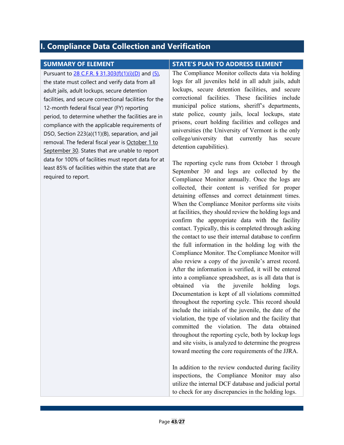## <span id="page-45-0"></span>**I. Compliance Data Collection and Verification**

Pursuant to [28 C.F.R. § 31.303\(f\)\(1\)\(i\)\(D\)](https://www.ecfr.gov/current/title-28/chapter-I/part-31/subpart-A#p-31.303(f)(1)(i)(D)) and [\(5\),](https://www.ecfr.gov/current/title-28/chapter-I/part-31/subpart-A#p-31.303(f)(5)) the state must collect and verify data from all adult jails, adult lockups, secure detention facilities, and secure correctional facilities for the 12-month federal fiscal year (FY) reporting period, to determine whether the facilities are in compliance with the applicable requirements of DSO, Section 223(a)(11)(B), separation, and jail removal. The federal fiscal year is October 1 to September 30. States that are unable to report data for 100% of facilities must report data for at least 85% of facilities within the state that are required to report.

#### **SUMMARY OF ELEMENT STATE'S PLAN TO ADDRESS ELEMENT**

The Compliance Monitor collects data via holding logs for all juveniles held in all adult jails, adult lockups, secure detention facilities, and secure correctional facilities. These facilities include municipal police stations, sheriff's departments, state police, county jails, local lockups, state prisons, court holding facilities and colleges and universities (the University of Vermont is the only college/university that currently has secure detention capabilities).

The reporting cycle runs from October 1 through September 30 and logs are collected by the Compliance Monitor annually. Once the logs are collected, their content is verified for proper detaining offenses and correct detainment times. When the Compliance Monitor performs site visits at facilities, they should review the holding logs and confirm the appropriate data with the facility contact. Typically, this is completed through asking the contact to use their internal database to confirm the full information in the holding log with the Compliance Monitor. The Compliance Monitor will also review a copy of the juvenile's arrest record. After the information is verified, it will be entered into a compliance spreadsheet, as is all data that is obtained via the juvenile holding logs. Documentation is kept of all violations committed throughout the reporting cycle. This record should include the initials of the juvenile, the date of the violation, the type of violation and the facility that committed the violation. The data obtained throughout the reporting cycle, both by lockup logs and site visits, is analyzed to determine the progress toward meeting the core requirements of the JJRA.

In addition to the review conducted during facility inspections, the Compliance Monitor may also utilize the internal DCF database and judicial portal to check for any discrepancies in the holding logs.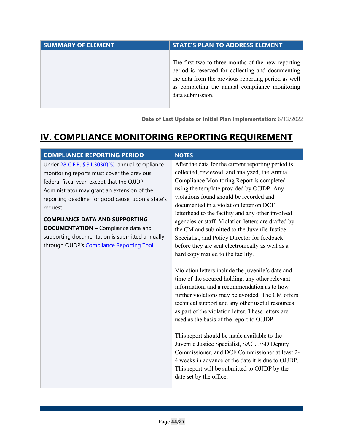| <b>SUMMARY OF ELEMENT</b> | <b>STATE'S PLAN TO ADDRESS ELEMENT</b>                                                                                                                                                                                               |
|---------------------------|--------------------------------------------------------------------------------------------------------------------------------------------------------------------------------------------------------------------------------------|
|                           | The first two to three months of the new reporting<br>period is reserved for collecting and documenting<br>the data from the previous reporting period as well<br>as completing the annual compliance monitoring<br>data submission. |

**Date of Last Update or Initial Plan Implementation**: 6/13/2022

# <span id="page-46-0"></span>**IV. COMPLIANCE MONITORING REPORTING REQUIREMENT**

| After the data for the current reporting period is<br>Under 28 C.F.R. § 31.303(f)(5), annual compliance<br>collected, reviewed, and analyzed, the Annual<br>Compliance Monitoring Report is completed<br>using the template provided by OJJDP. Any<br>violations found should be recorded and<br>reporting deadline, for good cause, upon a state's<br>documented in a violation letter on DCF<br>letterhead to the facility and any other involved<br>agencies or staff. Violation letters are drafted by<br><b>DOCUMENTATION - Compliance data and</b><br>the CM and submitted to the Juvenile Justice<br>Specialist, and Policy Director for feedback<br>before they are sent electronically as well as a<br>hard copy mailed to the facility.<br>Violation letters include the juvenile's date and<br>time of the secured holding, any other relevant<br>information, and a recommendation as to how<br>further violations may be avoided. The CM offers<br>technical support and any other useful resources<br>as part of the violation letter. These letters are<br>used as the basis of the report to OJJDP.<br>This report should be made available to the | <b>COMPLIANCE REPORTING PERIOD</b>                                                                                                                                                                                                                                                           | <b>NOTES</b>                                 |
|--------------------------------------------------------------------------------------------------------------------------------------------------------------------------------------------------------------------------------------------------------------------------------------------------------------------------------------------------------------------------------------------------------------------------------------------------------------------------------------------------------------------------------------------------------------------------------------------------------------------------------------------------------------------------------------------------------------------------------------------------------------------------------------------------------------------------------------------------------------------------------------------------------------------------------------------------------------------------------------------------------------------------------------------------------------------------------------------------------------------------------------------------------------------|----------------------------------------------------------------------------------------------------------------------------------------------------------------------------------------------------------------------------------------------------------------------------------------------|----------------------------------------------|
| Commissioner, and DCF Commissioner at least 2-<br>4 weeks in advance of the date it is due to OJJDP.<br>This report will be submitted to OJJDP by the<br>date set by the office.                                                                                                                                                                                                                                                                                                                                                                                                                                                                                                                                                                                                                                                                                                                                                                                                                                                                                                                                                                                   | monitoring reports must cover the previous<br>federal fiscal year, except that the OJJDP<br>Administrator may grant an extension of the<br>request.<br><b>COMPLIANCE DATA AND SUPPORTING</b><br>supporting documentation is submitted annually<br>through OJJDP's Compliance Reporting Tool. | Juvenile Justice Specialist, SAG, FSD Deputy |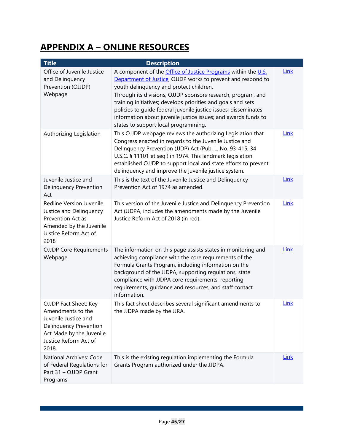# <span id="page-47-0"></span>**APPENDIX A – ONLINE RESOURCES**

| <b>Title</b>                                                                                                                                                     | <b>Description</b>                                                                                                                                                                                                                                                                                                                                                                                                                                                                           |             |
|------------------------------------------------------------------------------------------------------------------------------------------------------------------|----------------------------------------------------------------------------------------------------------------------------------------------------------------------------------------------------------------------------------------------------------------------------------------------------------------------------------------------------------------------------------------------------------------------------------------------------------------------------------------------|-------------|
| Office of Juvenile Justice<br>and Delinquency<br>Prevention (OJJDP)<br>Webpage                                                                                   | A component of the <b>Office of Justice Programs</b> within the U.S.<br>Department of Justice, OJJDP works to prevent and respond to<br>youth delinquency and protect children.<br>Through its divisions, OJJDP sponsors research, program, and<br>training initiatives; develops priorities and goals and sets<br>policies to guide federal juvenile justice issues; disseminates<br>information about juvenile justice issues; and awards funds to<br>states to support local programming. | Link        |
| Authorizing Legislation                                                                                                                                          | This OJJDP webpage reviews the authorizing Legislation that<br>Congress enacted in regards to the Juvenile Justice and<br>Delinquency Prevention (JJDP) Act (Pub. L. No. 93-415, 34<br>U.S.C. § 11101 et seq.) in 1974. This landmark legislation<br>established OJJDP to support local and state efforts to prevent<br>delinquency and improve the juvenile justice system.                                                                                                                 | Link        |
| Juvenile Justice and<br><b>Delinquency Prevention</b><br>Act                                                                                                     | This is the text of the Juvenile Justice and Delinquency<br>Prevention Act of 1974 as amended.                                                                                                                                                                                                                                                                                                                                                                                               | <b>Link</b> |
| Redline Version Juvenile<br>Justice and Delinquency<br>Prevention Act as<br>Amended by the Juvenile<br>Justice Reform Act of<br>2018                             | This version of the Juvenile Justice and Delinquency Prevention<br>Act (JJDPA, includes the amendments made by the Juvenile<br>Justice Reform Act of 2018 (in red).                                                                                                                                                                                                                                                                                                                          | Link        |
| <b>OJJDP Core Requirements</b><br>Webpage                                                                                                                        | The information on this page assists states in monitoring and<br>achieving compliance with the core requirements of the<br>Formula Grants Program, including information on the<br>background of the JJDPA, supporting regulations, state<br>compliance with JJDPA core requirements, reporting<br>requirements, guidance and resources, and staff contact<br>information.                                                                                                                   | Link        |
| OJJDP Fact Sheet: Key<br>Amendments to the<br>Juvenile Justice and<br><b>Delinquency Prevention</b><br>Act Made by the Juvenile<br>Justice Reform Act of<br>2018 | This fact sheet describes several significant amendments to<br>the JJDPA made by the JJRA.                                                                                                                                                                                                                                                                                                                                                                                                   | <b>Link</b> |
| National Archives: Code<br>of Federal Regulations for<br>Part 31 - OJJDP Grant<br>Programs                                                                       | This is the existing regulation implementing the Formula<br>Grants Program authorized under the JJDPA.                                                                                                                                                                                                                                                                                                                                                                                       | Link        |